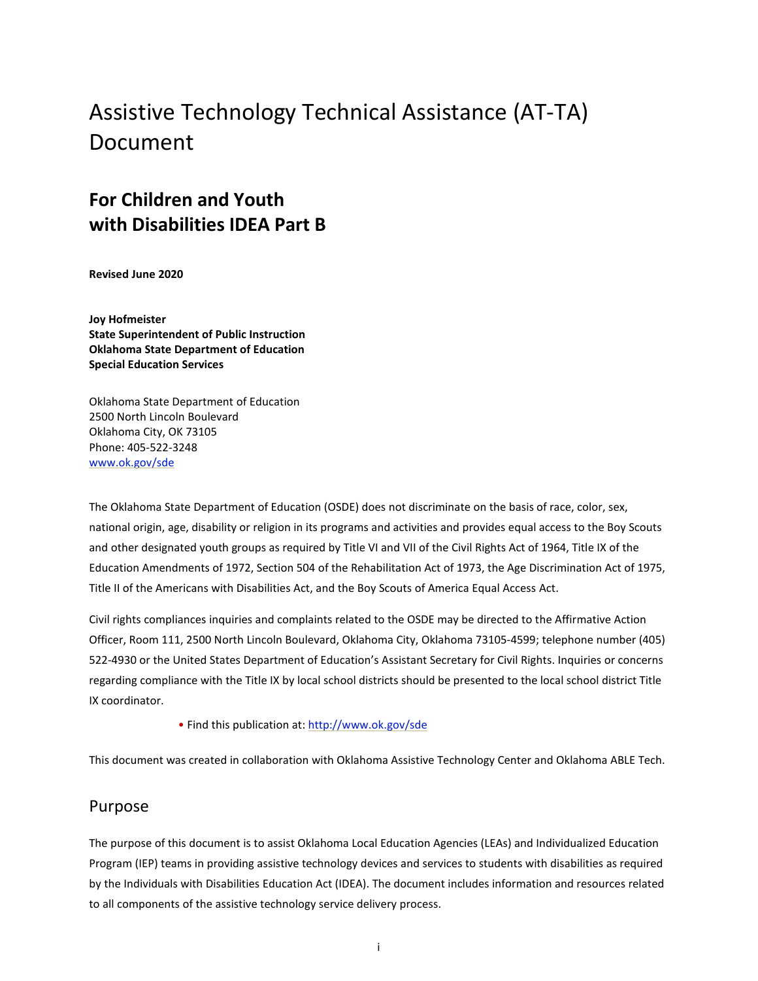## Assistive Technology Technical Assistance (AT-TA) Document

## **For Children and Youth with Disabilities IDEA Part B**

**Revised June 2020** 

**Joy Hofmeister State Superintendent of Public Instruction Oklahoma State Department of Education Special Education Services**

Oklahoma State Department of Education 2500 North Lincoln Boulevard Oklahoma City, OK 73105 Phone: 405-522-3248 [www.ok.gov/sde](http://www.ok.gov/sde)

The Oklahoma State Department of Education (OSDE) does not discriminate on the basis of race, color, sex, national origin, age, disability or religion in its programs and activities and provides equal access to the Boy Scouts and other designated youth groups as required by Title VI and VII of the Civil Rights Act of 1964, Title IX of the Education Amendments of 1972, Section 504 of the Rehabilitation Act of 1973, the Age Discrimination Act of 1975, Title II of the Americans with Disabilities Act, and the Boy Scouts of America Equal Access Act.

Civil rights compliances inquiries and complaints related to the OSDE may be directed to the Affirmative Action Officer, Room 111, 2500 North Lincoln Boulevard, Oklahoma City, Oklahoma 73105-4599; telephone number (405) 522-4930 or the United States Department of Education's Assistant Secretary for Civil Rights. Inquiries or concerns regarding compliance with the Title IX by local school districts should be presented to the local school district Title IX coordinator.

• Find this publication at:<http://www.ok.gov/sde>

This document was created in collaboration with Oklahoma Assistive Technology Center and Oklahoma ABLE Tech.

### Purpose

The purpose of this document is to assist Oklahoma Local Education Agencies (LEAs) and Individualized Education Program (IEP) teams in providing assistive technology devices and services to students with disabilities as required by the Individuals with Disabilities Education Act (IDEA). The document includes information and resources related to all components of the assistive technology service delivery process.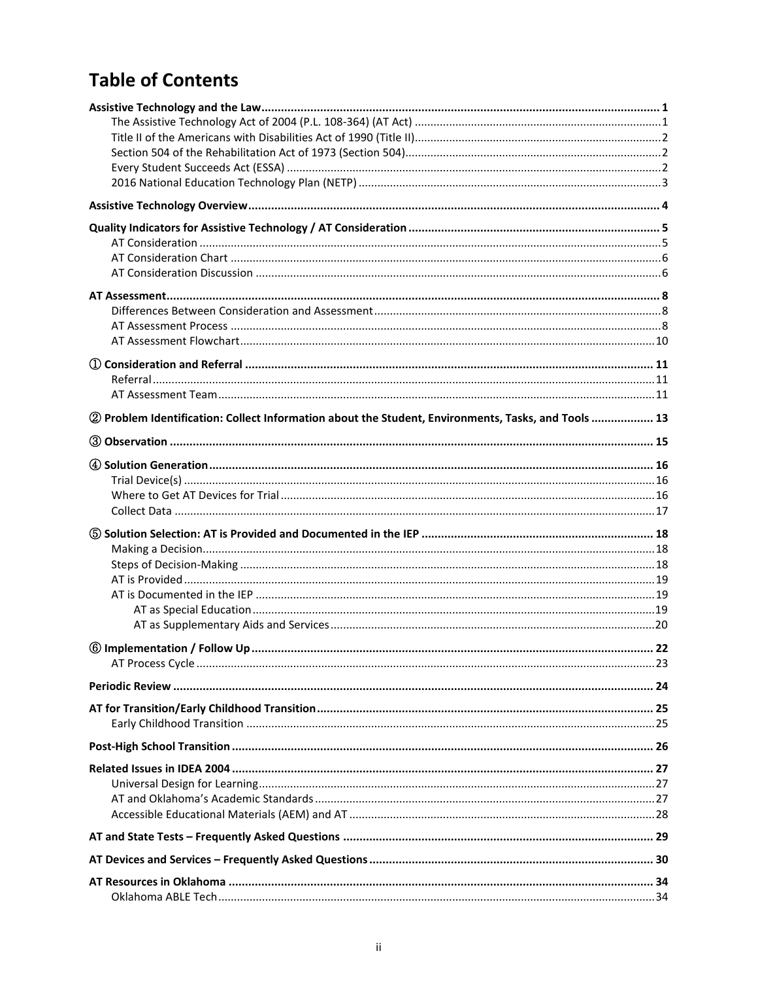## **Table of Contents**

| 2 Problem Identification: Collect Information about the Student, Environments, Tasks, and Tools  13 |  |
|-----------------------------------------------------------------------------------------------------|--|
|                                                                                                     |  |
|                                                                                                     |  |
|                                                                                                     |  |
|                                                                                                     |  |
|                                                                                                     |  |
|                                                                                                     |  |
|                                                                                                     |  |
|                                                                                                     |  |
|                                                                                                     |  |
|                                                                                                     |  |
|                                                                                                     |  |
|                                                                                                     |  |
|                                                                                                     |  |
|                                                                                                     |  |
|                                                                                                     |  |
|                                                                                                     |  |
|                                                                                                     |  |
|                                                                                                     |  |
|                                                                                                     |  |
|                                                                                                     |  |
|                                                                                                     |  |
|                                                                                                     |  |
|                                                                                                     |  |
|                                                                                                     |  |
|                                                                                                     |  |
|                                                                                                     |  |
|                                                                                                     |  |
|                                                                                                     |  |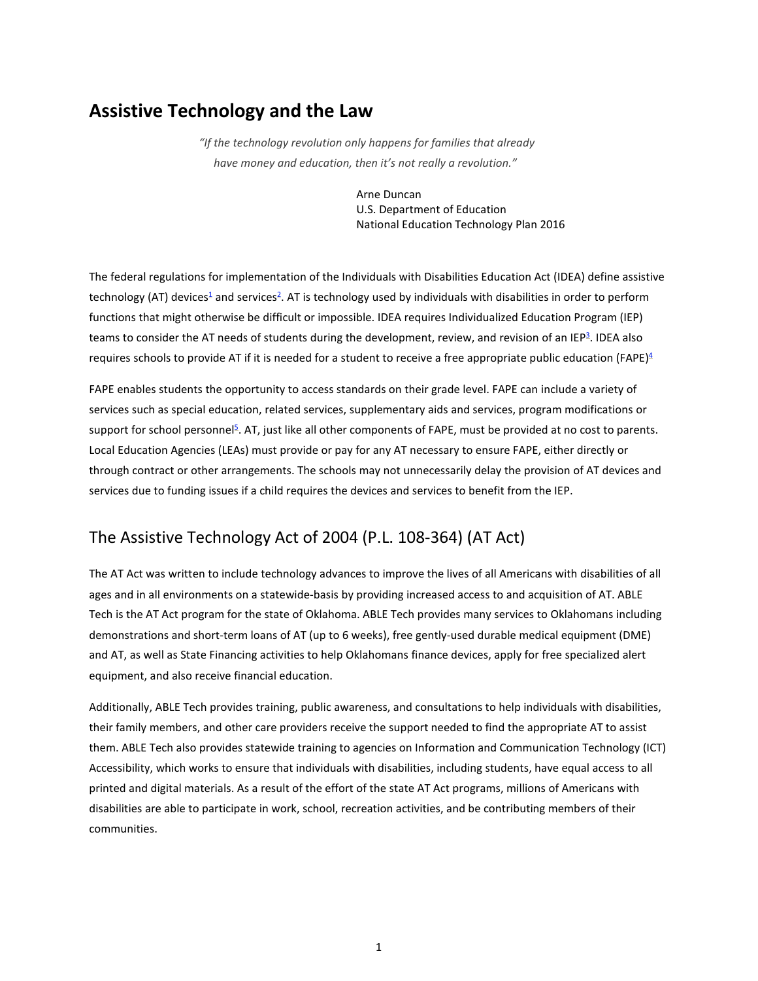## <span id="page-3-0"></span>**Assistive Technology and the Law**

*"If the technology revolution only happens for families that already have money and education, then it's not really a revolution."*

> Arne Duncan U.S. Department of Education National Education Technology Plan 2016

The federal regulations for implementation of the Individuals with Disabilities Education Act (IDEA) define assistive technology (AT) devices $^1$  and services $^2$ . AT is technology used by individuals with disabilities in order to perform functions that might otherwise be difficult or impossible. IDEA requires Individualized Education Program (IEP) teams to consider the AT needs of students during the development, review, and revision of an IEP<sup>3</sup>. IDEA also requires schools to provide AT if it is needed for a student to receive a free appropriate public education (FAPE) $4$ 

FAPE enables students the opportunity to access standards on their grade level. FAPE can include a variety of services such as special education, related services, supplementary aids and services, program modifications or support for school personnel<sup>5</sup>. AT, just like all other components of FAPE, must be provided at no cost to parents. Local Education Agencies (LEAs) must provide or pay for any AT necessary to ensure FAPE, either directly or through contract or other arrangements. The schools may not unnecessarily delay the provision of AT devices and services due to funding issues if a child requires the devices and services to benefit from the IEP.

## <span id="page-3-1"></span>The Assistive Technology Act of 2004 (P.L. 108-364) (AT Act)

The AT Act was written to include technology advances to improve the lives of all Americans with disabilities of all ages and in all environments on a statewide-basis by providing increased access to and acquisition of AT. ABLE Tech is the AT Act program for the state of Oklahoma. ABLE Tech provides many services to Oklahomans including demonstrations and short-term loans of AT (up to 6 weeks), free gently-used durable medical equipment (DME) and AT, as well as State Financing activities to help Oklahomans finance devices, apply for free specialized alert equipment, and also receive financial education.

Additionally, ABLE Tech provides training, public awareness, and consultations to help individuals with disabilities, their family members, and other care providers receive the support needed to find the appropriate AT to assist them. ABLE Tech also provides statewide training to agencies on Information and Communication Technology (ICT) Accessibility, which works to ensure that individuals with disabilities, including students, have equal access to all printed and digital materials. As a result of the effort of the state AT Act programs, millions of Americans with disabilities are able to participate in work, school, recreation activities, and be contributing members of their communities.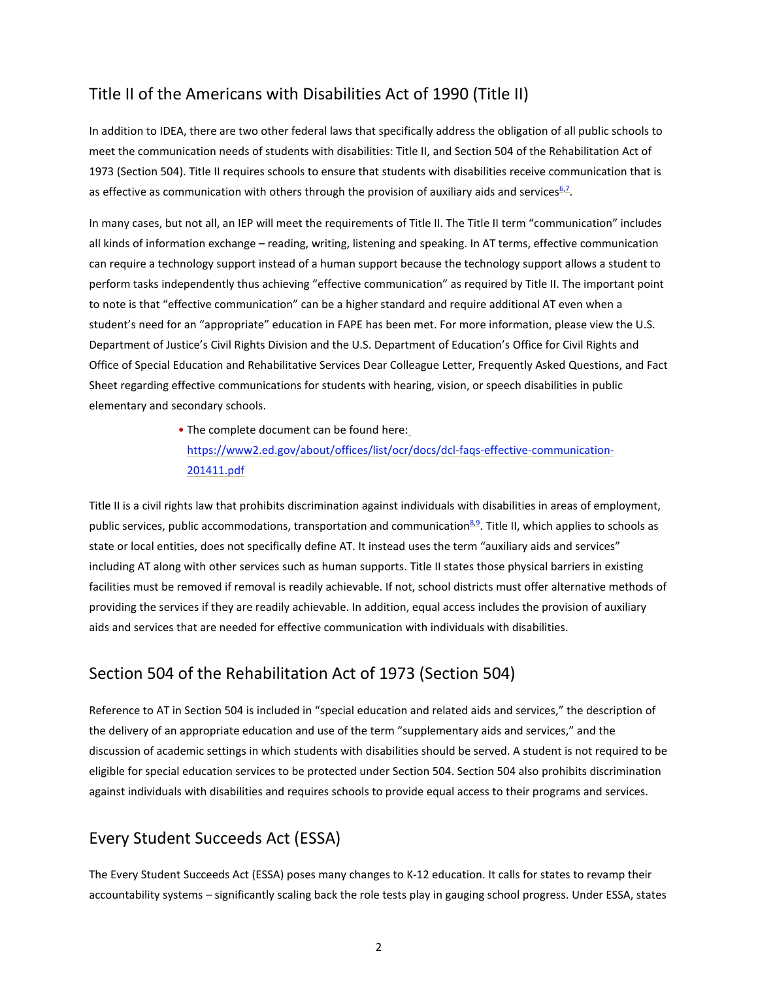## <span id="page-4-0"></span>Title II of the Americans with Disabilities Act of 1990 (Title II)

In addition to IDEA, there are two other federal laws that specifically address the obligation of all public schools to meet the communication needs of students with disabilities: Title II, and Section 504 of the Rehabilitation Act of 1973 (Section 504). Title II requires schools to ensure that students with disabilities receive communication that is as effective as communication with others through the provision of auxiliary aids and services $^{6.7}$  $^{6.7}$  $^{6.7}$ .

In many cases, but not all, an IEP will meet the requirements of Title II. The Title II term "communication" includes all kinds of information exchange – reading, writing, listening and speaking. In AT terms, effective communication can require a technology support instead of a human support because the technology support allows a student to perform tasks independently thus achieving "effective communication" as required by Title II. The important point to note is that "effective communication" can be a higher standard and require additional AT even when a student's need for an "appropriate" education in FAPE has been met. For more information, please view the U.S. Department of Justice's Civil Rights Division and the U.S. Department of Education's Office for Civil Rights and Office of Special Education and Rehabilitative Services Dear Colleague Letter, Frequently Asked Questions, and Fact Sheet regarding effective communications for students with hearing, vision, or speech disabilities in public elementary and secondary schools.

> • The complete document can be found here: [https://www2.ed.gov/about/offices/list/ocr/docs/dcl-faqs-effective-communication-](https://www2.ed.gov/about/offices/list/ocr/docs/dcl-faqs-effective-communication-201411.pdf)[201411.pdf](https://www2.ed.gov/about/offices/list/ocr/docs/dcl-faqs-effective-communication-201411.pdf)

Title II is a civil rights law that prohibits discrimination against individuals with disabilities in areas of employment, public services, public accommodations, transportation and communication<sup>8,[9](#page-41-0)</sup>. Title II, which applies to schools as state or local entities, does not specifically define AT. It instead uses the term "auxiliary aids and services" including AT along with other services such as human supports. Title II states those physical barriers in existing facilities must be removed if removal is readily achievable. If not, school districts must offer alternative methods of providing the services if they are readily achievable. In addition, equal access includes the provision of auxiliary aids and services that are needed for effective communication with individuals with disabilities.

### <span id="page-4-1"></span>Section 504 of the Rehabilitation Act of 1973 (Section 504)

Reference to AT in Section 504 is included in "special education and related aids and services," the description of the delivery of an appropriate education and use of the term "supplementary aids and services," and the discussion of academic settings in which students with disabilities should be served. A student is not required to be eligible for special education services to be protected under Section 504. Section 504 also prohibits discrimination against individuals with disabilities and requires schools to provide equal access to their programs and services.

## <span id="page-4-2"></span>Every Student Succeeds Act (ESSA)

The Every Student Succeeds Act (ESSA) poses many changes to K-12 education. It calls for states to revamp their accountability systems – significantly scaling back the role tests play in gauging school progress. Under ESSA, states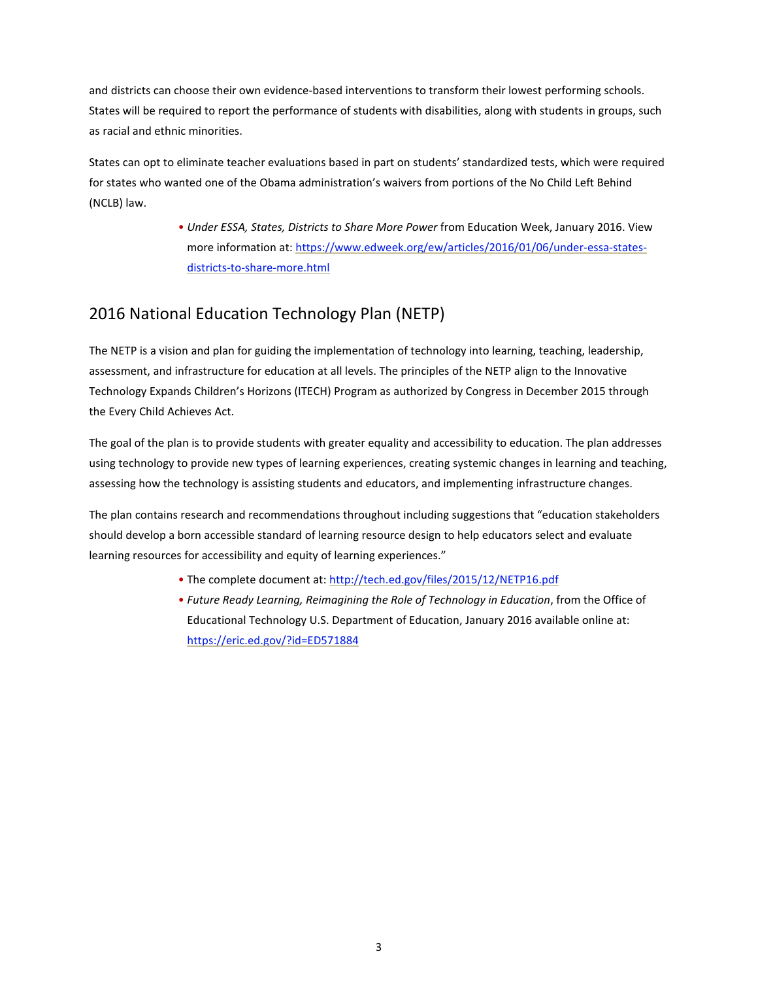and districts can choose their own evidence-based interventions to transform their lowest performing schools. States will be required to report the performance of students with disabilities, along with students in groups, such as racial and ethnic minorities.

States can opt to eliminate teacher evaluations based in part on students' standardized tests, which were required for states who wanted one of the Obama administration's waivers from portions of the No Child Left Behind (NCLB) law.

> • *Under ESSA, States, Districts to Share More Power* from Education Week, January 2016. View more information at: [https://www.edweek.org/ew/articles/2016/01/06/under-essa-states](https://www.edweek.org/ew/articles/2016/01/06/under-essa-states-districts-to-share-more.html)[districts-to-share-more.html](https://www.edweek.org/ew/articles/2016/01/06/under-essa-states-districts-to-share-more.html)

## <span id="page-5-0"></span>2016 National Education Technology Plan (NETP)

The NETP is a vision and plan for guiding the implementation of technology into learning, teaching, leadership, assessment, and infrastructure for education at all levels. The principles of the NETP align to the Innovative Technology Expands Children's Horizons (ITECH) Program as authorized by Congress in December 2015 through the Every Child Achieves Act.

The goal of the plan is to provide students with greater equality and accessibility to education. The plan addresses using technology to provide new types of learning experiences, creating systemic changes in learning and teaching, assessing how the technology is assisting students and educators, and implementing infrastructure changes.

The plan contains research and recommendations throughout including suggestions that "education stakeholders should develop a born accessible standard of learning resource design to help educators select and evaluate learning resources for accessibility and equity of learning experiences."

- The complete document at:<http://tech.ed.gov/files/2015/12/NETP16.pdf>
- *Future Ready Learning, Reimagining the Role of Technology in Education*, from the Office of Educational Technology U.S. Department of Education, January 2016 available online at: <https://eric.ed.gov/?id=ED571884>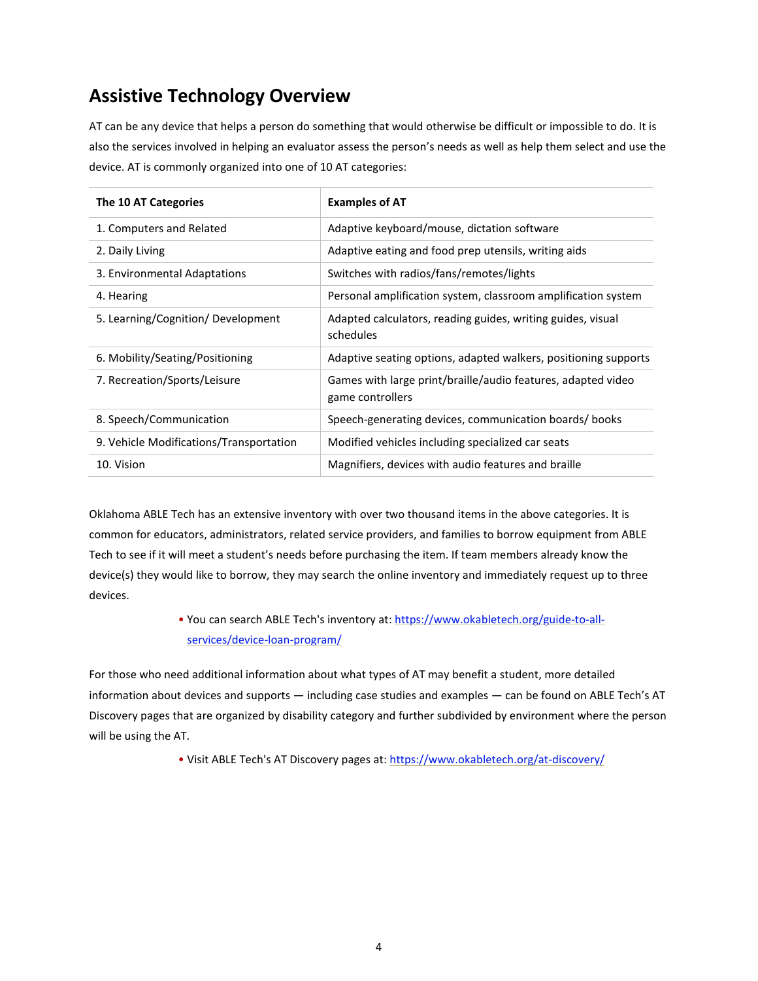## <span id="page-6-0"></span>**Assistive Technology Overview**

AT can be any device that helps a person do something that would otherwise be difficult or impossible to do. It is also the services involved in helping an evaluator assess the person's needs as well as help them select and use the device. AT is commonly organized into one of 10 AT categories:

| The 10 AT Categories                    | <b>Examples of AT</b>                                                            |
|-----------------------------------------|----------------------------------------------------------------------------------|
| 1. Computers and Related                | Adaptive keyboard/mouse, dictation software                                      |
| 2. Daily Living                         | Adaptive eating and food prep utensils, writing aids                             |
| 3. Environmental Adaptations            | Switches with radios/fans/remotes/lights                                         |
| 4. Hearing                              | Personal amplification system, classroom amplification system                    |
| 5. Learning/Cognition/ Development      | Adapted calculators, reading guides, writing guides, visual<br>schedules         |
| 6. Mobility/Seating/Positioning         | Adaptive seating options, adapted walkers, positioning supports                  |
| 7. Recreation/Sports/Leisure            | Games with large print/braille/audio features, adapted video<br>game controllers |
| 8. Speech/Communication                 | Speech-generating devices, communication boards/ books                           |
| 9. Vehicle Modifications/Transportation | Modified vehicles including specialized car seats                                |
| 10. Vision                              | Magnifiers, devices with audio features and braille                              |

Oklahoma ABLE Tech has an extensive inventory with over two thousand items in the above categories. It is common for educators, administrators, related service providers, and families to borrow equipment from ABLE Tech to see if it will meet a student's needs before purchasing the item. If team members already know the device(s) they would like to borrow, they may search the online inventory and immediately request up to three devices.

### • You can search ABLE Tech's inventory at: [https://www.okabletech.org/guide-to-all](https://www.okabletech.org/guide-to-all-services/device-loan-program/)[services/device-loan-program/](https://www.okabletech.org/guide-to-all-services/device-loan-program/)

For those who need additional information about what types of AT may benefit a student, more detailed information about devices and supports — including case studies and examples — can be found on ABLE Tech's AT Discovery pages that are organized by disability category and further subdivided by environment where the person will be using the AT.

• Visit ABLE Tech's AT Discovery pages at:<https://www.okabletech.org/at-discovery/>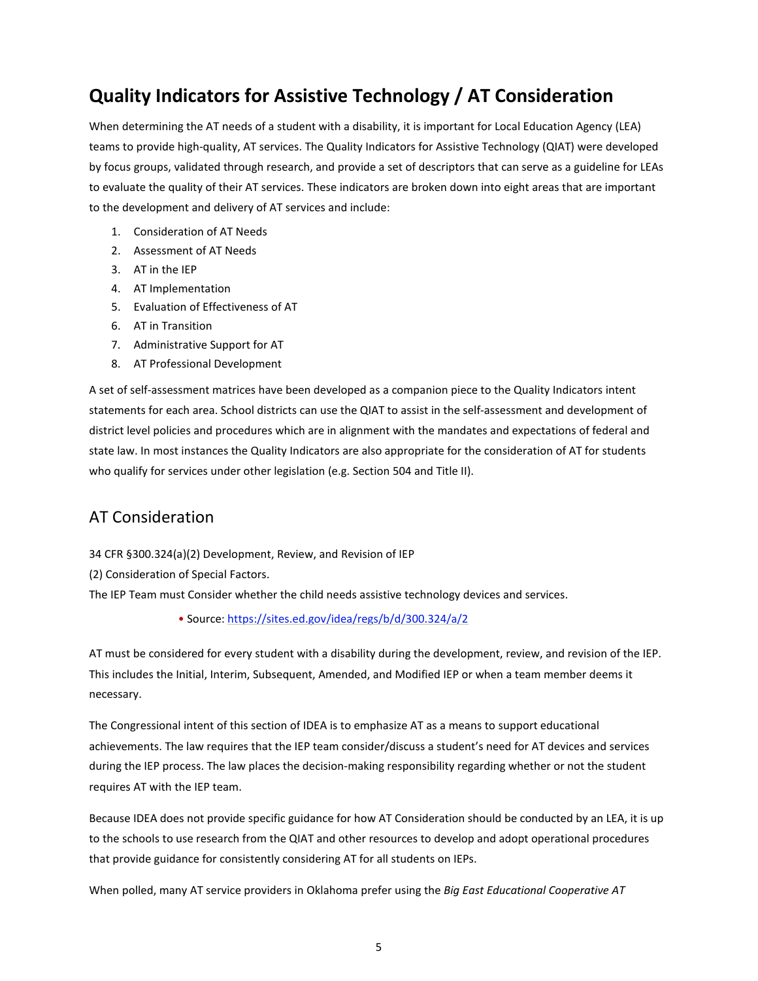## <span id="page-7-0"></span>**Quality Indicators for Assistive Technology / AT Consideration**

When determining the AT needs of a student with a disability, it is important for Local Education Agency (LEA) teams to provide high-quality, AT services. The Quality Indicators for Assistive Technology (QIAT) were developed by focus groups, validated through research, and provide a set of descriptors that can serve as a guideline for LEAs to evaluate the quality of their AT services. These indicators are broken down into eight areas that are important to the development and delivery of AT services and include:

- 1. Consideration of AT Needs
- 2. Assessment of AT Needs
- 3. AT in the IEP
- 4. AT Implementation
- 5. Evaluation of Effectiveness of AT
- 6. AT in Transition
- 7. Administrative Support for AT
- 8. AT Professional Development

A set of self-assessment matrices have been developed as a companion piece to the Quality Indicators intent statements for each area. School districts can use the QIAT to assist in the self-assessment and development of district level policies and procedures which are in alignment with the mandates and expectations of federal and state law. In most instances the Quality Indicators are also appropriate for the consideration of AT for students who qualify for services under other legislation (e.g. Section 504 and Title II).

### <span id="page-7-1"></span>AT Consideration

34 CFR §300.324(a)(2) Development, Review, and Revision of IEP

(2) Consideration of Special Factors.

The IEP Team must Consider whether the child needs assistive technology devices and services.

• Source:<https://sites.ed.gov/idea/regs/b/d/300.324/a/2>

AT must be considered for every student with a disability during the development, review, and revision of the IEP. This includes the Initial, Interim, Subsequent, Amended, and Modified IEP or when a team member deems it necessary.

The Congressional intent of this section of IDEA is to emphasize AT as a means to support educational achievements. The law requires that the IEP team consider/discuss a student's need for AT devices and services during the IEP process. The law places the decision-making responsibility regarding whether or not the student requires AT with the IEP team.

Because IDEA does not provide specific guidance for how AT Consideration should be conducted by an LEA, it is up to the schools to use research from the QIAT and other resources to develop and adopt operational procedures that provide guidance for consistently considering AT for all students on IEPs.

When polled, many AT service providers in Oklahoma prefer using the *Big East Educational Cooperative AT*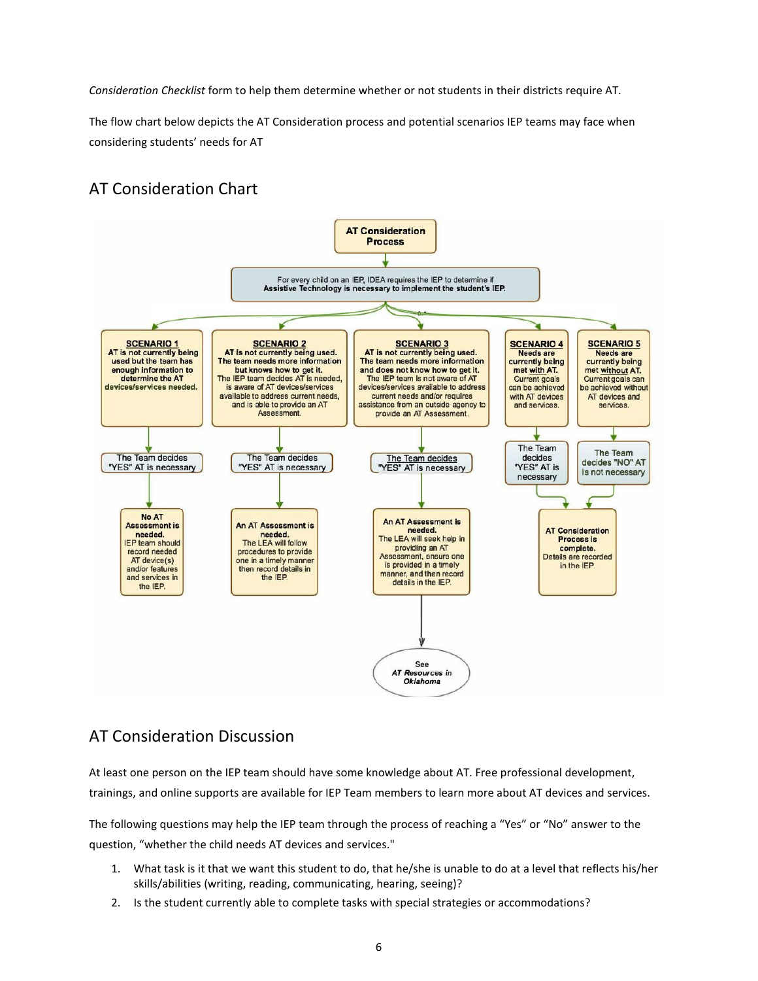*Consideration Checklist* form to help them determine whether or not students in their districts require AT.

The flow chart below depicts the AT Consideration process and potential scenarios IEP teams may face when considering students' needs for AT

## AT Consideration Chart

<span id="page-8-0"></span>

### <span id="page-8-1"></span>AT Consideration Discussion

At least one person on the IEP team should have some knowledge about AT. Free professional development, trainings, and online supports are available for IEP Team members to learn more about AT devices and services.

The following questions may help the IEP team through the process of reaching a "Yes" or "No" answer to the question, "whether the child needs AT devices and services."

- 1. What task is it that we want this student to do, that he/she is unable to do at a level that reflects his/her skills/abilities (writing, reading, communicating, hearing, seeing)?
- 2. Is the student currently able to complete tasks with special strategies or accommodations?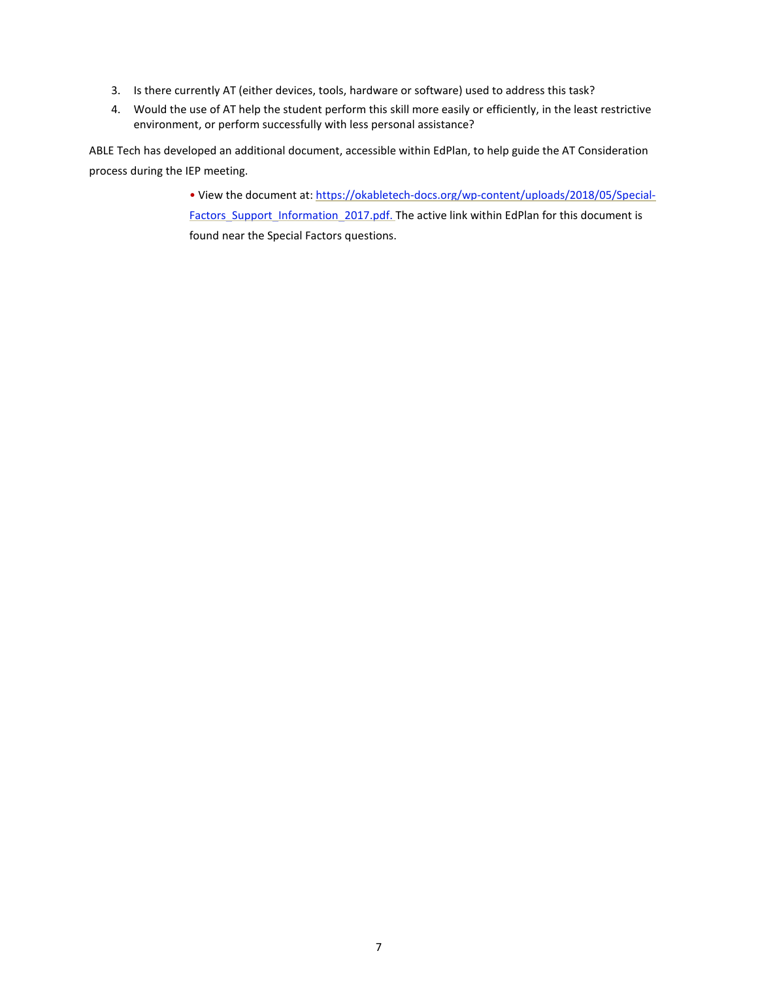- 3. Is there currently AT (either devices, tools, hardware or software) used to address this task?
- 4. Would the use of AT help the student perform this skill more easily or efficiently, in the least restrictive environment, or perform successfully with less personal assistance?

ABLE Tech has developed an additional document, accessible within EdPlan, to help guide the AT Consideration process during the IEP meeting.

> • View the document at: [https://okabletech-docs.org/wp-content/uploads/2018/05/Special-](https://okabletech-docs.org/wp-content/uploads/2018/05/Special-Factors_Support_Information_2017.pdf)[Factors\\_Support\\_Information\\_2017.pdf.](https://okabletech-docs.org/wp-content/uploads/2018/05/Special-Factors_Support_Information_2017.pdf) The active link within EdPlan for this document is found near the Special Factors questions.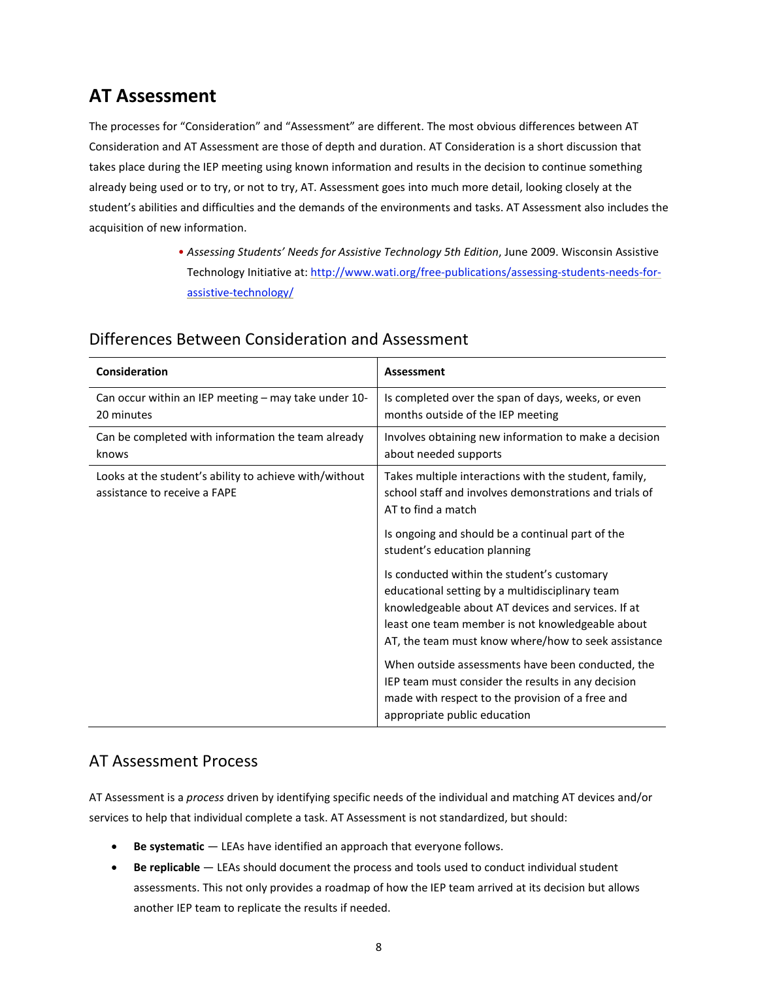## <span id="page-10-0"></span>**AT Assessment**

The processes for "Consideration" and "Assessment" are different. The most obvious differences between AT Consideration and AT Assessment are those of depth and duration. AT Consideration is a short discussion that takes place during the IEP meeting using known information and results in the decision to continue something already being used or to try, or not to try, AT. Assessment goes into much more detail, looking closely at the student's abilities and difficulties and the demands of the environments and tasks. AT Assessment also includes the acquisition of new information.

> • *Assessing Students' Needs for Assistive Technology 5th Edition*, June 2009. Wisconsin Assistive Technology Initiative at: [http://www.wati.org/free-publications/assessing-students-needs-for](http://www.wati.org/free-publications/assessing-students-needs-for-assistive-technology/)[assistive-technology/](http://www.wati.org/free-publications/assessing-students-needs-for-assistive-technology/)

| Consideration                                                                          | <b>Assessment</b>                                                                                                                                                                                                                                               |
|----------------------------------------------------------------------------------------|-----------------------------------------------------------------------------------------------------------------------------------------------------------------------------------------------------------------------------------------------------------------|
| Can occur within an IEP meeting - may take under 10-<br>20 minutes                     | Is completed over the span of days, weeks, or even<br>months outside of the IEP meeting                                                                                                                                                                         |
| Can be completed with information the team already<br>knows                            | Involves obtaining new information to make a decision<br>about needed supports                                                                                                                                                                                  |
| Looks at the student's ability to achieve with/without<br>assistance to receive a FAPE | Takes multiple interactions with the student, family,<br>school staff and involves demonstrations and trials of<br>AT to find a match                                                                                                                           |
|                                                                                        | Is ongoing and should be a continual part of the<br>student's education planning                                                                                                                                                                                |
|                                                                                        | Is conducted within the student's customary<br>educational setting by a multidisciplinary team<br>knowledgeable about AT devices and services. If at<br>least one team member is not knowledgeable about<br>AT, the team must know where/how to seek assistance |
|                                                                                        | When outside assessments have been conducted, the<br>IEP team must consider the results in any decision<br>made with respect to the provision of a free and<br>appropriate public education                                                                     |

### <span id="page-10-1"></span>Differences Between Consideration and Assessment

## <span id="page-10-2"></span>AT Assessment Process

AT Assessment is a *process* driven by identifying specific needs of the individual and matching AT devices and/or services to help that individual complete a task. AT Assessment is not standardized, but should:

- **Be systematic** LEAs have identified an approach that everyone follows.
- **Be replicable** LEAs should document the process and tools used to conduct individual student assessments. This not only provides a roadmap of how the IEP team arrived at its decision but allows another IEP team to replicate the results if needed.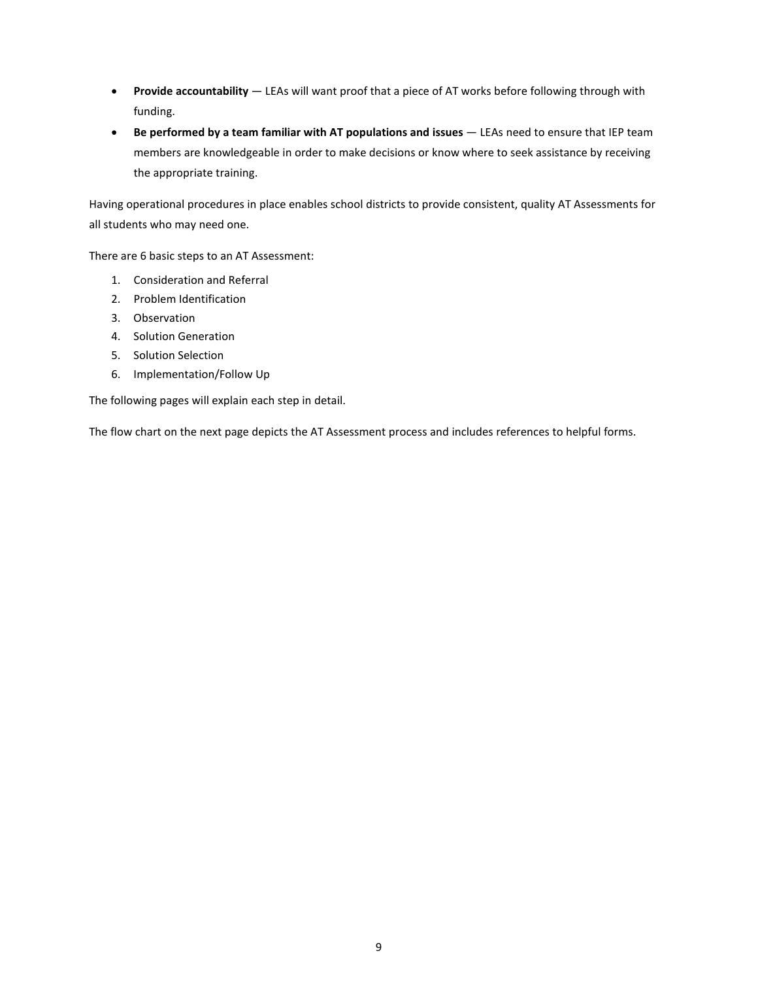- **Provide accountability** LEAs will want proof that a piece of AT works before following through with funding.
- **Be performed by a team familiar with AT populations and issues** LEAs need to ensure that IEP team members are knowledgeable in order to make decisions or know where to seek assistance by receiving the appropriate training.

Having operational procedures in place enables school districts to provide consistent, quality AT Assessments for all students who may need one.

There are 6 basic steps to an AT Assessment:

- 1. Consideration and Referral
- 2. Problem Identification
- 3. Observation
- 4. Solution Generation
- 5. Solution Selection
- 6. Implementation/Follow Up

The following pages will explain each step in detail.

The flow chart on the next page depicts the AT Assessment process and includes references to helpful forms.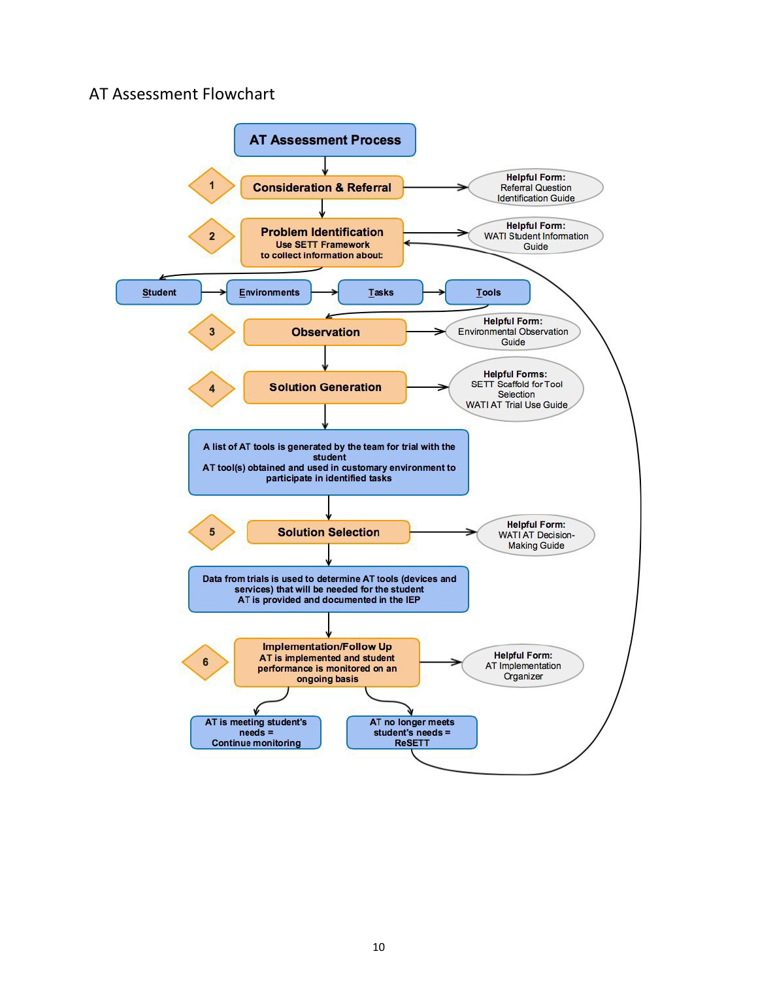## <span id="page-12-0"></span>AT Assessment Flowchart

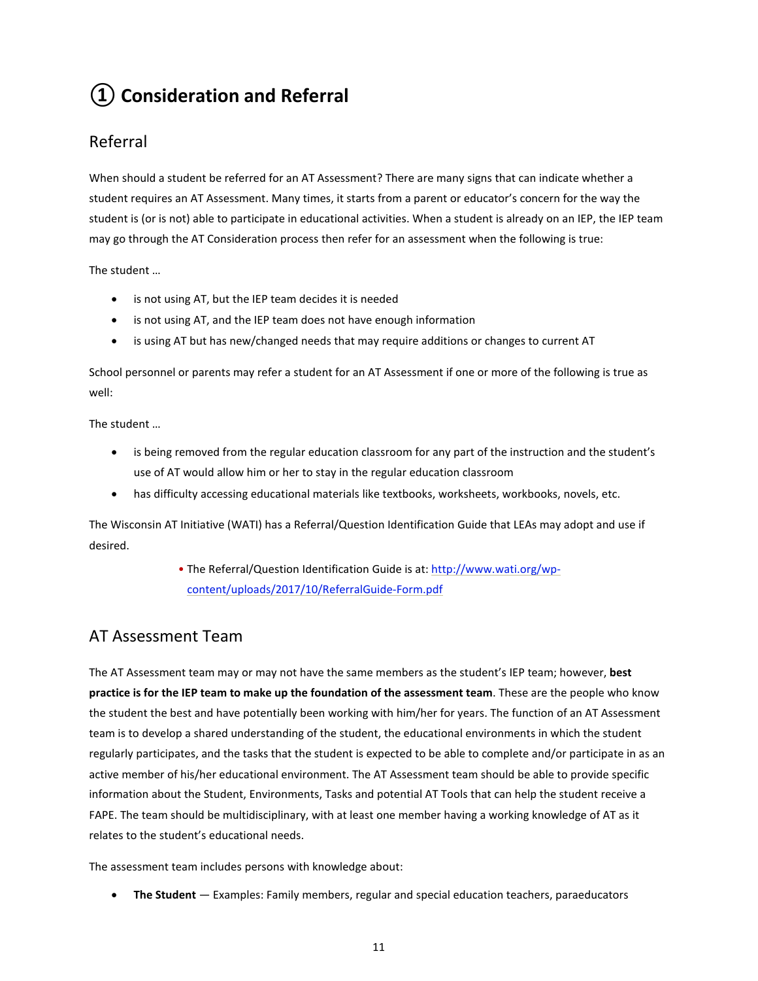## <span id="page-13-0"></span>**① Consideration and Referral**

## <span id="page-13-1"></span>Referral

When should a student be referred for an AT Assessment? There are many signs that can indicate whether a student requires an AT Assessment. Many times, it starts from a parent or educator's concern for the way the student is (or is not) able to participate in educational activities. When a student is already on an IEP, the IEP team may go through the AT Consideration process then refer for an assessment when the following is true:

The student …

- is not using AT, but the IEP team decides it is needed
- is not using AT, and the IEP team does not have enough information
- is using AT but has new/changed needs that may require additions or changes to current AT

School personnel or parents may refer a student for an AT Assessment if one or more of the following is true as well:

The student …

- is being removed from the regular education classroom for any part of the instruction and the student's use of AT would allow him or her to stay in the regular education classroom
- has difficulty accessing educational materials like textbooks, worksheets, workbooks, novels, etc.

The Wisconsin AT Initiative (WATI) has a Referral/Question Identification Guide that LEAs may adopt and use if desired.

> • The Referral/Question Identification Guide is at[: http://www.wati.org/wp](http://www.wati.org/wp-content/uploads/2017/10/ReferralGuide-Form.pdf)[content/uploads/2017/10/ReferralGuide-Form.pdf](http://www.wati.org/wp-content/uploads/2017/10/ReferralGuide-Form.pdf)

## <span id="page-13-2"></span>AT Assessment Team

The AT Assessment team may or may not have the same members as the student's IEP team; however, **best practice is for the IEP team to make up the foundation of the assessment team**. These are the people who know the student the best and have potentially been working with him/her for years. The function of an AT Assessment team is to develop a shared understanding of the student, the educational environments in which the student regularly participates, and the tasks that the student is expected to be able to complete and/or participate in as an active member of his/her educational environment. The AT Assessment team should be able to provide specific information about the Student, Environments, Tasks and potential AT Tools that can help the student receive a FAPE. The team should be multidisciplinary, with at least one member having a working knowledge of AT as it relates to the student's educational needs.

The assessment team includes persons with knowledge about:

• **The Student** — Examples: Family members, regular and special education teachers, paraeducators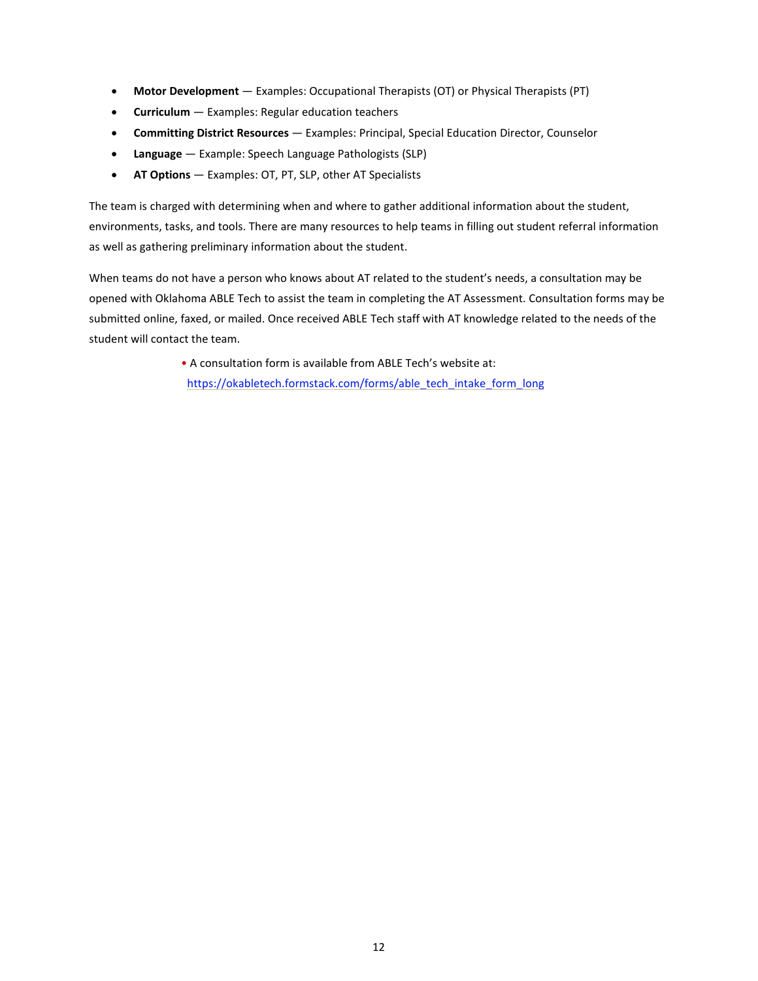- **Motor Development** Examples: Occupational Therapists (OT) or Physical Therapists (PT)
- **Curriculum** Examples: Regular education teachers
- **Committing District Resources** Examples: Principal, Special Education Director, Counselor
- **Language** Example: Speech Language Pathologists (SLP)
- **AT Options** Examples: OT, PT, SLP, other AT Specialists

The team is charged with determining when and where to gather additional information about the student, environments, tasks, and tools. There are many resources to help teams in filling out student referral information as well as gathering preliminary information about the student.

When teams do not have a person who knows about AT related to the student's needs, a consultation may be opened with Oklahoma ABLE Tech to assist the team in completing the AT Assessment. Consultation forms may be submitted online, faxed, or mailed. Once received ABLE Tech staff with AT knowledge related to the needs of the student will contact the team.

> • A consultation form is available from ABLE Tech's website at: https://okabletech.formstack.com/forms/able\_tech\_intake\_form\_long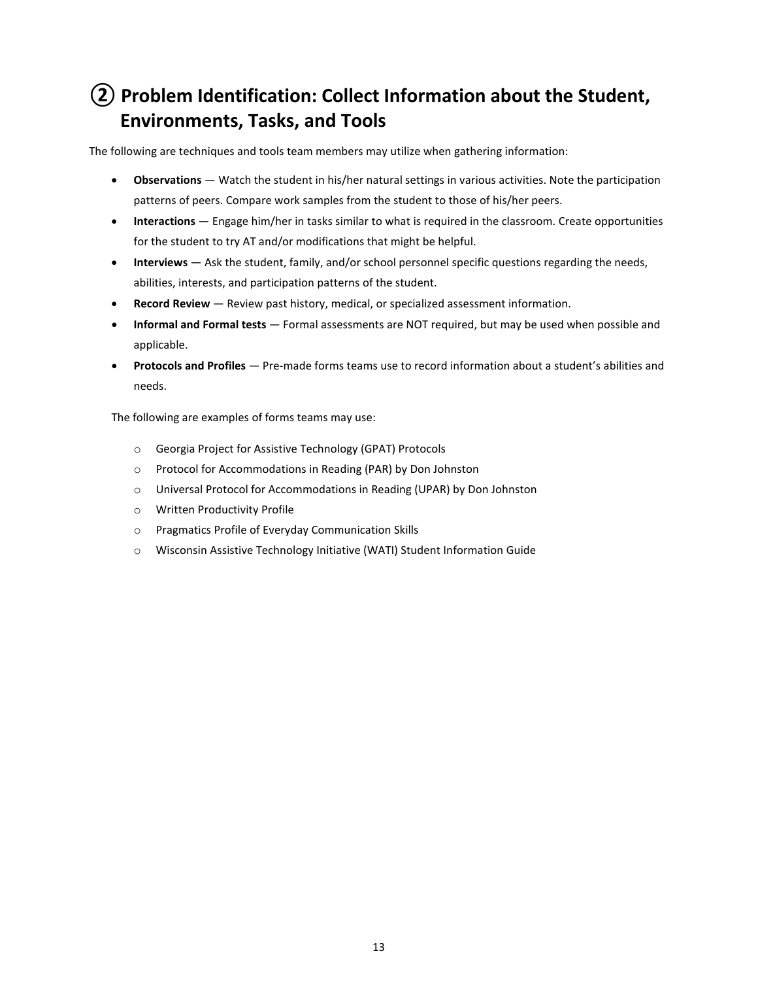## <span id="page-15-0"></span>**② Problem Identification: Collect Information about the Student, Environments, Tasks, and Tools**

The following are techniques and tools team members may utilize when gathering information:

- **Observations** Watch the student in his/her natural settings in various activities. Note the participation patterns of peers. Compare work samples from the student to those of his/her peers.
- **Interactions** Engage him/her in tasks similar to what is required in the classroom. Create opportunities for the student to try AT and/or modifications that might be helpful.
- **Interviews** Ask the student, family, and/or school personnel specific questions regarding the needs, abilities, interests, and participation patterns of the student.
- **Record Review** Review past history, medical, or specialized assessment information.
- **Informal and Formal tests** Formal assessments are NOT required, but may be used when possible and applicable.
- **Protocols and Profiles** Pre-made forms teams use to record information about a student's abilities and needs.

The following are examples of forms teams may use:

- o Georgia Project for Assistive Technology (GPAT) Protocols
- o Protocol for Accommodations in Reading (PAR) by Don Johnston
- o Universal Protocol for Accommodations in Reading (UPAR) by Don Johnston
- o Written Productivity Profile
- o Pragmatics Profile of Everyday Communication Skills
- o Wisconsin Assistive Technology Initiative (WATI) Student Information Guide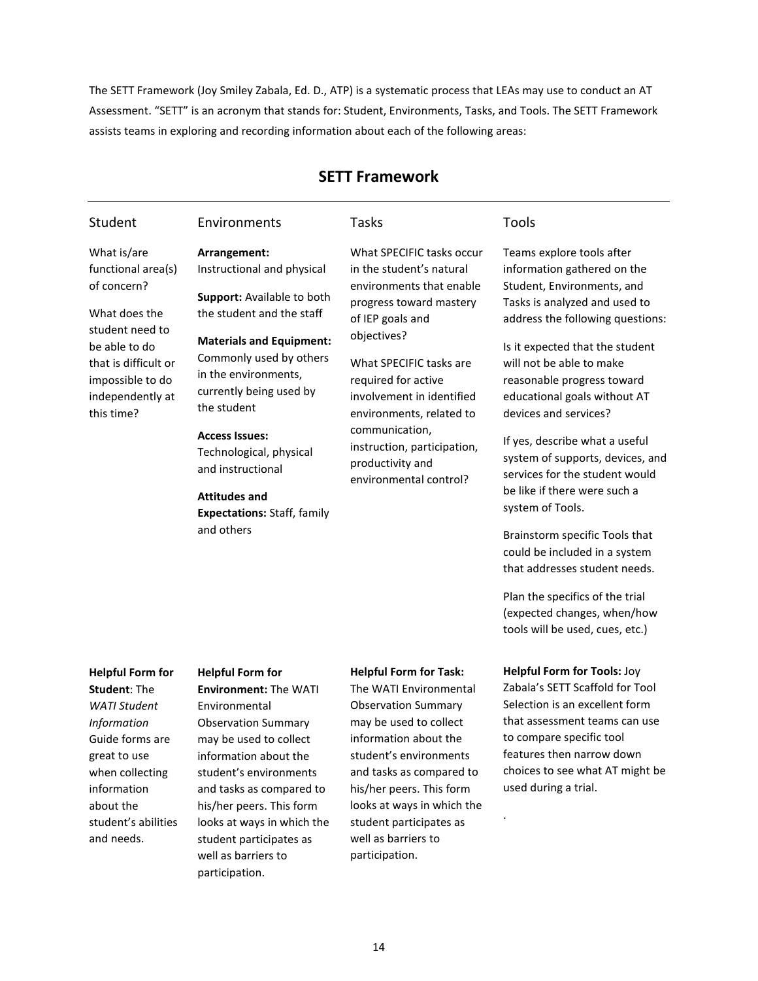The SETT Framework (Joy Smiley Zabala, Ed. D., ATP) is a systematic process that LEAs may use to conduct an AT Assessment. "SETT" is an acronym that stands for: Student, Environments, Tasks, and Tools. The SETT Framework assists teams in exploring and recording information about each of the following areas:

| Student                                                                                                        | Environments                                                                                                                        | Tasks                                                                                                                  | Tools                                                                                                                                                    |  |
|----------------------------------------------------------------------------------------------------------------|-------------------------------------------------------------------------------------------------------------------------------------|------------------------------------------------------------------------------------------------------------------------|----------------------------------------------------------------------------------------------------------------------------------------------------------|--|
| What is/are                                                                                                    | Arrangement:                                                                                                                        | What SPECIFIC tasks occur                                                                                              | Teams explore tools after                                                                                                                                |  |
| functional area(s)                                                                                             | Instructional and physical                                                                                                          | in the student's natural                                                                                               | information gathered on the                                                                                                                              |  |
| of concern?<br>What does the                                                                                   | <b>Support: Available to both</b><br>the student and the staff                                                                      | environments that enable<br>progress toward mastery<br>of IEP goals and                                                | Student, Environments, and<br>Tasks is analyzed and used to<br>address the following questions:                                                          |  |
| student need to<br>be able to do<br>that is difficult or<br>impossible to do<br>independently at<br>this time? | <b>Materials and Equipment:</b><br>Commonly used by others<br>in the environments,<br>currently being used by<br>the student        | objectives?<br>What SPECIFIC tasks are<br>required for active<br>involvement in identified<br>environments, related to | Is it expected that the student<br>will not be able to make<br>reasonable progress toward<br>educational goals without AT<br>devices and services?       |  |
|                                                                                                                | <b>Access Issues:</b><br>Technological, physical<br>and instructional<br><b>Attitudes and</b><br><b>Expectations: Staff, family</b> | communication,<br>instruction, participation,<br>productivity and<br>environmental control?                            | If yes, describe what a useful<br>system of supports, devices, and<br>services for the student would<br>be like if there were such a<br>system of Tools. |  |
|                                                                                                                | and others                                                                                                                          |                                                                                                                        | Brainstorm specific Tools that<br>could be included in a cuctom                                                                                          |  |

### **SETT Framework**

could be included in a system that addresses student needs.

Plan the specifics of the trial (expected changes, when/how tools will be used, cues, etc.)

### **Helpful Form for**

**Student**: The *WATI Student Information* Guide forms are great to use when collecting information about the student's abilities and needs.

#### **Helpful Form for**

**Environment:** The WATI Environmental Observation Summary may be used to collect information about the student's environments and tasks as compared to his/her peers. This form looks at ways in which the student participates as well as barriers to participation.

#### **Helpful Form for Task:**

The WATI Environmental Observation Summary may be used to collect information about the student's environments and tasks as compared to his/her peers. This form looks at ways in which the student participates as well as barriers to participation.

14

**Helpful Form for Tools:** Joy Zabala's SETT Scaffold for Tool Selection is an excellent form that assessment teams can use to compare specific tool features then narrow down choices to see what AT might be used during a trial.

.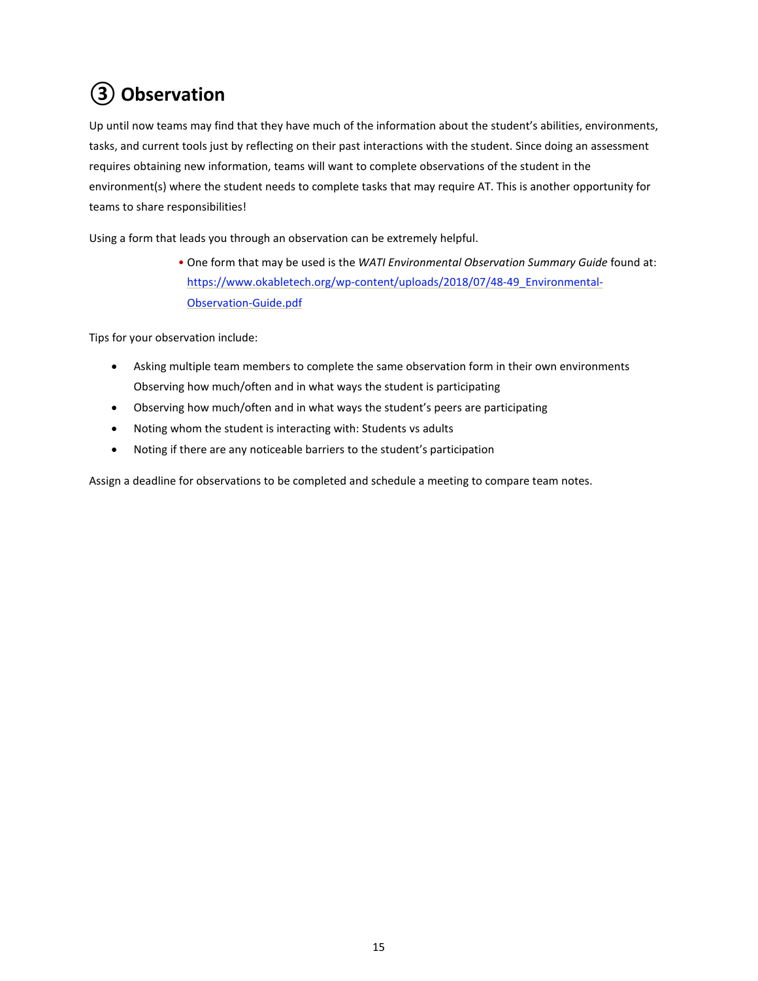## <span id="page-17-0"></span>**③ Observation**

Up until now teams may find that they have much of the information about the student's abilities, environments, tasks, and current tools just by reflecting on their past interactions with the student. Since doing an assessment requires obtaining new information, teams will want to complete observations of the student in the environment(s) where the student needs to complete tasks that may require AT. This is another opportunity for teams to share responsibilities!

Using a form that leads you through an observation can be extremely helpful.

• One form that may be used is the *WATI Environmental Observation Summary Guide* found at: [https://www.okabletech.org/wp-content/uploads/2018/07/48-49\\_Environmental-](https://www.okabletech.org/wp-content/uploads/2018/07/48-49_Environmental-Observation-Guide.pdf)[Observation-Guide.pdf](https://www.okabletech.org/wp-content/uploads/2018/07/48-49_Environmental-Observation-Guide.pdf) 

Tips for your observation include:

- Asking multiple team members to complete the same observation form in their own environments Observing how much/often and in what ways the student is participating
- Observing how much/often and in what ways the student's peers are participating
- Noting whom the student is interacting with: Students vs adults
- Noting if there are any noticeable barriers to the student's participation

Assign a deadline for observations to be completed and schedule a meeting to compare team notes.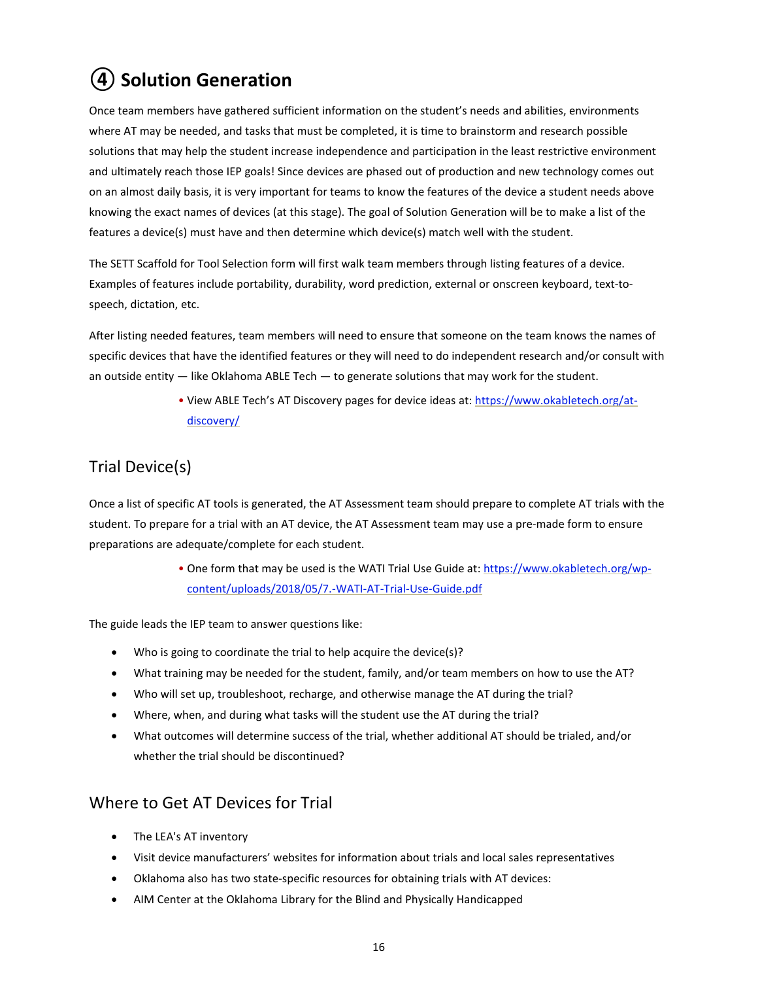# <span id="page-18-0"></span>**④ Solution Generation**

Once team members have gathered sufficient information on the student's needs and abilities, environments where AT may be needed, and tasks that must be completed, it is time to brainstorm and research possible solutions that may help the student increase independence and participation in the least restrictive environment and ultimately reach those IEP goals! Since devices are phased out of production and new technology comes out on an almost daily basis, it is very important for teams to know the features of the device a student needs above knowing the exact names of devices (at this stage). The goal of Solution Generation will be to make a list of the features a device(s) must have and then determine which device(s) match well with the student.

The SETT Scaffold for Tool Selection form will first walk team members through listing features of a device. Examples of features include portability, durability, word prediction, external or onscreen keyboard, text-tospeech, dictation, etc.

After listing needed features, team members will need to ensure that someone on the team knows the names of specific devices that have the identified features or they will need to do independent research and/or consult with an outside entity — like Oklahoma ABLE Tech — to generate solutions that may work for the student.

> • View ABLE Tech's AT Discovery pages for device ideas at: [https://www.okabletech.org/at](https://www.okabletech.org/at-discovery/)[discovery/](https://www.okabletech.org/at-discovery/)

## <span id="page-18-1"></span>Trial Device(s)

Once a list of specific AT tools is generated, the AT Assessment team should prepare to complete AT trials with the student. To prepare for a trial with an AT device, the AT Assessment team may use a pre-made form to ensure preparations are adequate/complete for each student.

> • One form that may be used is the WATI Trial Use Guide at: [https://www.okabletech.org/wp](https://www.okabletech.org/wp-content/uploads/2018/05/7.-WATI-AT-Trial-Use-Guide.pdf)[content/uploads/2018/05/7.-WATI-AT-Trial-Use-Guide.pdf](https://www.okabletech.org/wp-content/uploads/2018/05/7.-WATI-AT-Trial-Use-Guide.pdf)

The guide leads the IEP team to answer questions like:

- Who is going to coordinate the trial to help acquire the device(s)?
- What training may be needed for the student, family, and/or team members on how to use the AT?
- Who will set up, troubleshoot, recharge, and otherwise manage the AT during the trial?
- Where, when, and during what tasks will the student use the AT during the trial?
- What outcomes will determine success of the trial, whether additional AT should be trialed, and/or whether the trial should be discontinued?

## <span id="page-18-2"></span>Where to Get AT Devices for Trial

- The LEA's AT inventory
- Visit device manufacturers' websites for information about trials and local sales representatives
- Oklahoma also has two state-specific resources for obtaining trials with AT devices:
- AIM Center at the Oklahoma Library for the Blind and Physically Handicapped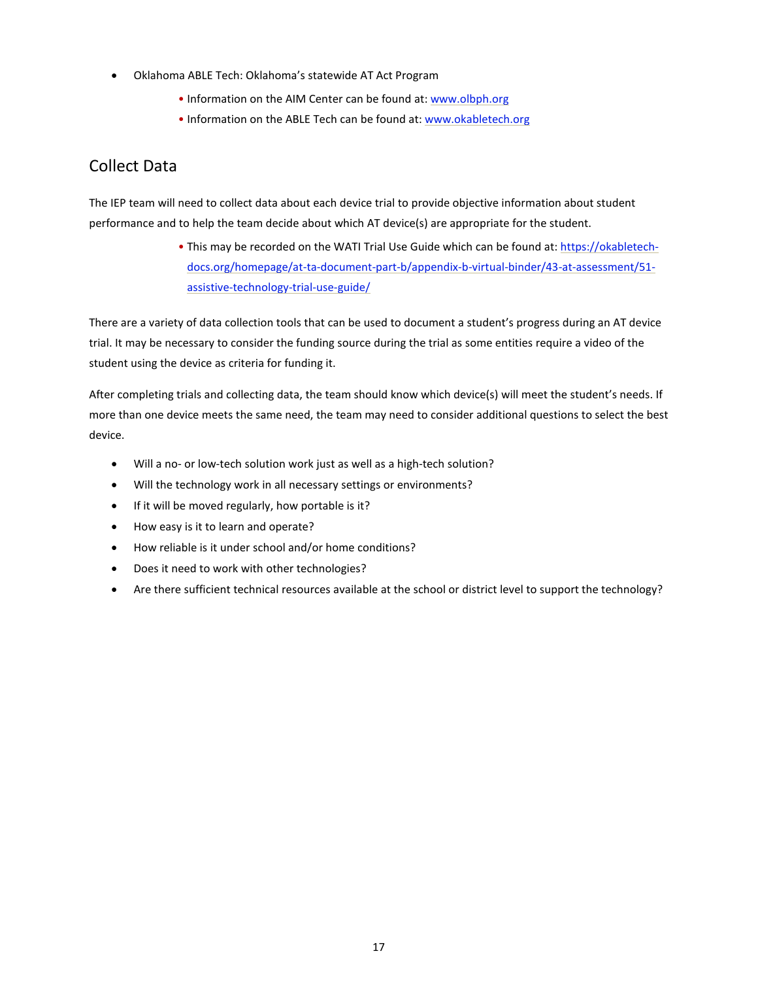- Oklahoma ABLE Tech: Oklahoma's statewide AT Act Program
	- Information on the AIM Center can be found at: [www.olbph.org](http://www.olbph.org/)
	- Information on the ABLE Tech can be found at[: www.okabletech.org](http://www.okabletech.org/)

## <span id="page-19-0"></span>Collect Data

The IEP team will need to collect data about each device trial to provide objective information about student performance and to help the team decide about which AT device(s) are appropriate for the student.

> • This may be recorded on the WATI Trial Use Guide which can be found at: [https://okabletech](https://okabletech-docs.org/homepage/at-ta-document-part-b/appendix-b-virtual-binder/43-at-assessment/51-assistive-technology-trial-use-guide/)[docs.org/homepage/at-ta-document-part-b/appendix-b-virtual-binder/43-at-assessment/51](https://okabletech-docs.org/homepage/at-ta-document-part-b/appendix-b-virtual-binder/43-at-assessment/51-assistive-technology-trial-use-guide/) [assistive-technology-trial-use-guide/](https://okabletech-docs.org/homepage/at-ta-document-part-b/appendix-b-virtual-binder/43-at-assessment/51-assistive-technology-trial-use-guide/)

There are a variety of data collection tools that can be used to document a student's progress during an AT device trial. It may be necessary to consider the funding source during the trial as some entities require a video of the student using the device as criteria for funding it.

After completing trials and collecting data, the team should know which device(s) will meet the student's needs. If more than one device meets the same need, the team may need to consider additional questions to select the best device.

- Will a no- or low-tech solution work just as well as a high-tech solution?
- Will the technology work in all necessary settings or environments?
- If it will be moved regularly, how portable is it?
- How easy is it to learn and operate?
- How reliable is it under school and/or home conditions?
- Does it need to work with other technologies?
- Are there sufficient technical resources available at the school or district level to support the technology?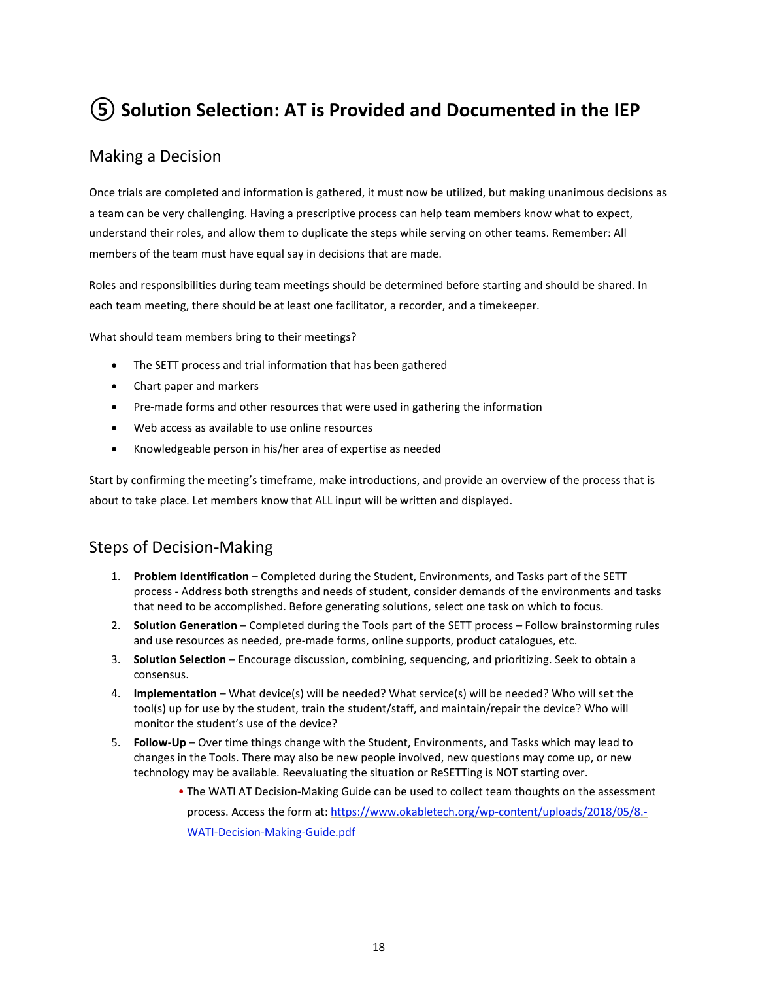## <span id="page-20-0"></span>**⑤ Solution Selection: AT is Provided and Documented in the IEP**

### <span id="page-20-1"></span>Making a Decision

Once trials are completed and information is gathered, it must now be utilized, but making unanimous decisions as a team can be very challenging. Having a prescriptive process can help team members know what to expect, understand their roles, and allow them to duplicate the steps while serving on other teams. Remember: All members of the team must have equal say in decisions that are made.

Roles and responsibilities during team meetings should be determined before starting and should be shared. In each team meeting, there should be at least one facilitator, a recorder, and a timekeeper.

What should team members bring to their meetings?

- The SETT process and trial information that has been gathered
- Chart paper and markers
- Pre-made forms and other resources that were used in gathering the information
- Web access as available to use online resources
- Knowledgeable person in his/her area of expertise as needed

Start by confirming the meeting's timeframe, make introductions, and provide an overview of the process that is about to take place. Let members know that ALL input will be written and displayed.

### <span id="page-20-2"></span>Steps of Decision-Making

- 1. **Problem Identification** Completed during the Student, Environments, and Tasks part of the SETT process - Address both strengths and needs of student, consider demands of the environments and tasks that need to be accomplished. Before generating solutions, select one task on which to focus.
- 2. **Solution Generation** Completed during the Tools part of the SETT process Follow brainstorming rules and use resources as needed, pre-made forms, online supports, product catalogues, etc.
- 3. **Solution Selection** Encourage discussion, combining, sequencing, and prioritizing. Seek to obtain a consensus.
- 4. **Implementation** What device(s) will be needed? What service(s) will be needed? Who will set the tool(s) up for use by the student, train the student/staff, and maintain/repair the device? Who will monitor the student's use of the device?
- 5. **Follow-Up** Over time things change with the Student, Environments, and Tasks which may lead to changes in the Tools. There may also be new people involved, new questions may come up, or new technology may be available. Reevaluating the situation or ReSETTing is NOT starting over.
	- The WATI AT Decision-Making Guide can be used to collect team thoughts on the assessment

process. Access the form at: [https://www.okabletech.org/wp-content/uploads/2018/05/8.-](https://www.okabletech.org/wp-content/uploads/2018/05/8.-WATI-Decision-Making-Guide.pdf)

[WATI-Decision-Making-Guide.pdf](https://www.okabletech.org/wp-content/uploads/2018/05/8.-WATI-Decision-Making-Guide.pdf)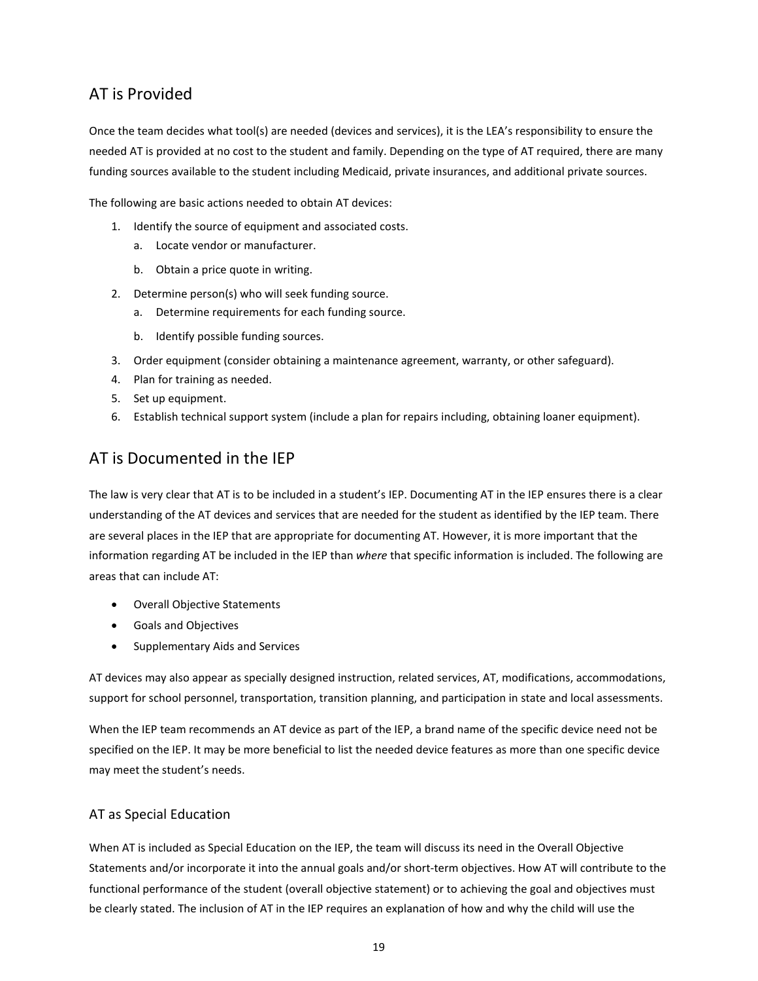## <span id="page-21-0"></span>AT is Provided

Once the team decides what tool(s) are needed (devices and services), it is the LEA's responsibility to ensure the needed AT is provided at no cost to the student and family. Depending on the type of AT required, there are many funding sources available to the student including Medicaid, private insurances, and additional private sources.

The following are basic actions needed to obtain AT devices:

- 1. Identify the source of equipment and associated costs.
	- a. Locate vendor or manufacturer.
	- b. Obtain a price quote in writing.
- 2. Determine person(s) who will seek funding source.
	- a. Determine requirements for each funding source.
	- b. Identify possible funding sources.
- 3. Order equipment (consider obtaining a maintenance agreement, warranty, or other safeguard).
- 4. Plan for training as needed.
- 5. Set up equipment.
- 6. Establish technical support system (include a plan for repairs including, obtaining loaner equipment).

## <span id="page-21-1"></span>AT is Documented in the IEP

The law is very clear that AT is to be included in a student's IEP. Documenting AT in the IEP ensures there is a clear understanding of the AT devices and services that are needed for the student as identified by the IEP team. There are several places in the IEP that are appropriate for documenting AT. However, it is more important that the information regarding AT be included in the IEP than *where* that specific information is included. The following are areas that can include AT:

- Overall Objective Statements
- Goals and Objectives
- Supplementary Aids and Services

AT devices may also appear as specially designed instruction, related services, AT, modifications, accommodations, support for school personnel, transportation, transition planning, and participation in state and local assessments.

When the IEP team recommends an AT device as part of the IEP, a brand name of the specific device need not be specified on the IEP. It may be more beneficial to list the needed device features as more than one specific device may meet the student's needs.

#### <span id="page-21-2"></span>AT as Special Education

When AT is included as Special Education on the IEP, the team will discuss its need in the Overall Objective Statements and/or incorporate it into the annual goals and/or short-term objectives. How AT will contribute to the functional performance of the student (overall objective statement) or to achieving the goal and objectives must be clearly stated. The inclusion of AT in the IEP requires an explanation of how and why the child will use the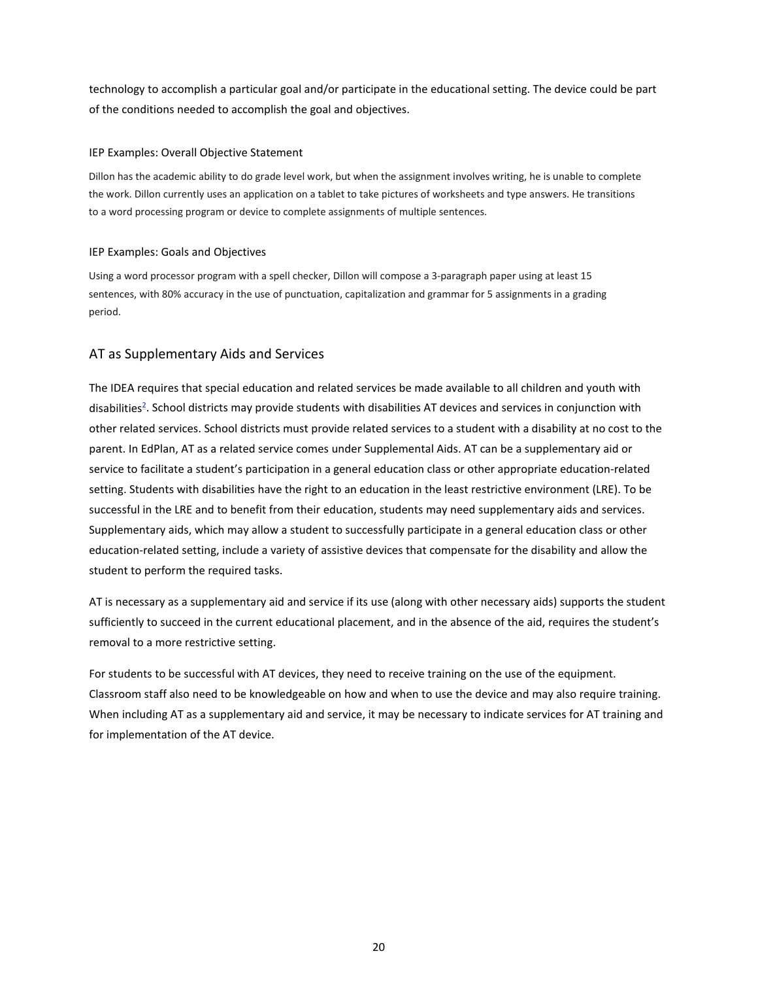technology to accomplish a particular goal and/or participate in the educational setting. The device could be part of the conditions needed to accomplish the goal and objectives.

#### IEP Examples: Overall Objective Statement

Dillon has the academic ability to do grade level work, but when the assignment involves writing, he is unable to complete the work. Dillon currently uses an application on a tablet to take pictures of worksheets and type answers. He transitions to a word processing program or device to complete assignments of multiple sentences.

#### IEP Examples: Goals and Objectives

Using a word processor program with a spell checker, Dillon will compose a 3-paragraph paper using at least 15 sentences, with 80% accuracy in the use of punctuation, capitalization and grammar for 5 assignments in a grading period.

#### <span id="page-22-0"></span>AT as Supplementary Aids and Services

The IDEA requires that special education and related services be made available to all children and youth with disabilities<sup>2</sup>. School districts may provide students with disabilities AT devices and services in conjunction with other related services. School districts must provide related services to a student with a disability at no cost to the parent. In EdPlan, AT as a related service comes under Supplemental Aids. AT can be a supplementary aid or service to facilitate a student's participation in a general education class or other appropriate education-related setting. Students with disabilities have the right to an education in the least restrictive environment (LRE). To be successful in the LRE and to benefit from their education, students may need supplementary aids and services. Supplementary aids, which may allow a student to successfully participate in a general education class or other education-related setting, include a variety of assistive devices that compensate for the disability and allow the student to perform the required tasks.

AT is necessary as a supplementary aid and service if its use (along with other necessary aids) supports the student sufficiently to succeed in the current educational placement, and in the absence of the aid, requires the student's removal to a more restrictive setting.

For students to be successful with AT devices, they need to receive training on the use of the equipment. Classroom staff also need to be knowledgeable on how and when to use the device and may also require training. When including AT as a supplementary aid and service, it may be necessary to indicate services for AT training and for implementation of the AT device.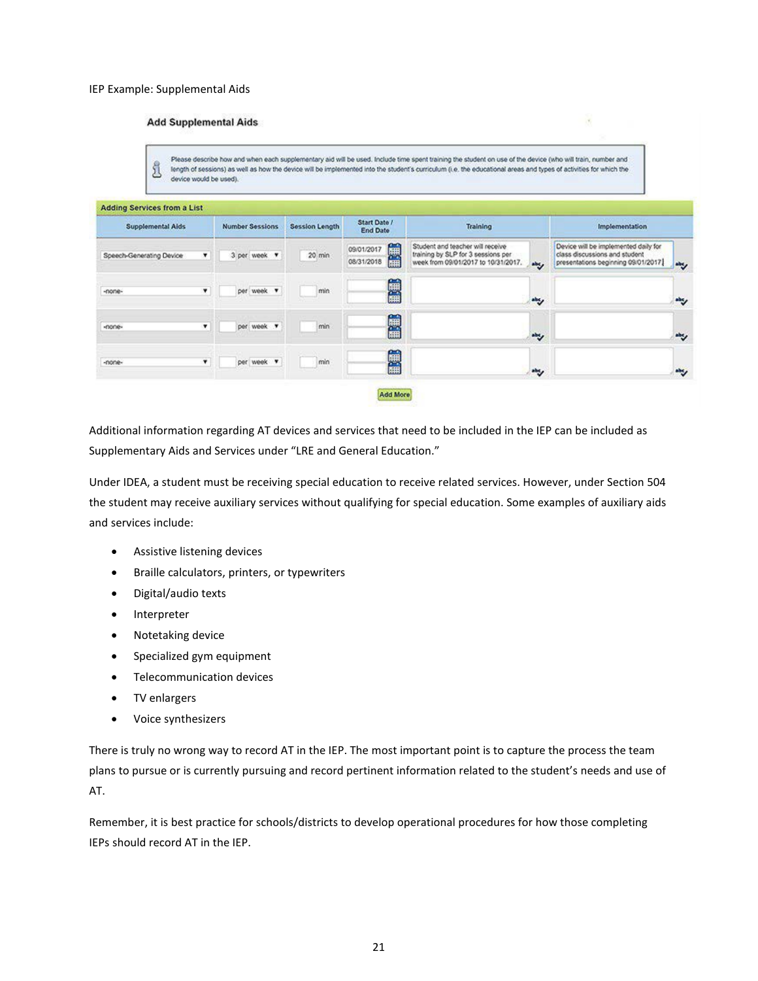#### IEP Example: Supplemental Aids

#### **Add Supplemental Aids**

Please describe how and when each supplementary aid will be used. Include time spent training the student on use of the device (who will train, number and length of sessions) as well as how the device will be implemented into the student's curriculum (i.e. the educational areas and types of activities for which the g. device would be used).

¥

| <b>Supplemental Aids</b> |                          | <b>Number Sessions</b> | <b>Session Length</b> | Start Date /<br>End Date       | <b>Training</b>                                                                                                       | Implementation                                                                                               |      |
|--------------------------|--------------------------|------------------------|-----------------------|--------------------------------|-----------------------------------------------------------------------------------------------------------------------|--------------------------------------------------------------------------------------------------------------|------|
| Speech-Generating Device | $\overline{\phantom{a}}$ | 3 per week <b>v</b>    | 20 min                | 重重<br>09/01/2017<br>08/31/2018 | Student and teacher will receive<br>training by SLP for 3 sessions per<br>week from 09/01/2017 to 10/31/2017.<br>aby. | Device will be implemented daily for<br>class discussions and student<br>presentations beginning 09/01/2017. | ang, |
| -none-                   | ۰                        | per week v             | min                   | 篇篇                             | aby.                                                                                                                  |                                                                                                              | abs, |
| -none-                   | ×                        | per week .             | min                   | 篇                              | پ                                                                                                                     |                                                                                                              | abs, |
| -none-                   | $\pmb{\mathrm{v}}$       | per week <b>v</b>      | min                   | 重建                             | aby.                                                                                                                  |                                                                                                              | - 7  |

Additional information regarding AT devices and services that need to be included in the IEP can be included as Supplementary Aids and Services under "LRE and General Education."

Under IDEA, a student must be receiving special education to receive related services. However, under Section 504 the student may receive auxiliary services without qualifying for special education. Some examples of auxiliary aids and services include:

- Assistive listening devices
- Braille calculators, printers, or typewriters
- Digital/audio texts
- Interpreter
- Notetaking device
- Specialized gym equipment
- Telecommunication devices
- TV enlargers
- Voice synthesizers

There is truly no wrong way to record AT in the IEP. The most important point is to capture the process the team plans to pursue or is currently pursuing and record pertinent information related to the student's needs and use of AT.

Remember, it is best practice for schools/districts to develop operational procedures for how those completing IEPs should record AT in the IEP.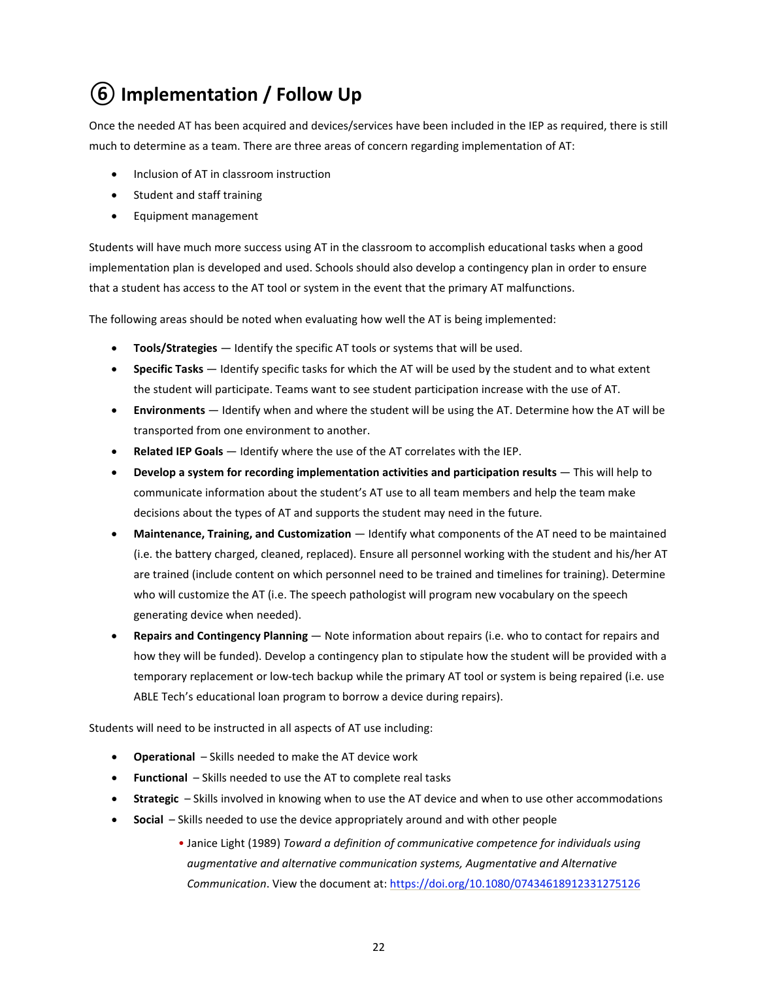## <span id="page-24-0"></span>**⑥ Implementation / Follow Up**

Once the needed AT has been acquired and devices/services have been included in the IEP as required, there is still much to determine as a team. There are three areas of concern regarding implementation of AT:

- Inclusion of AT in classroom instruction
- Student and staff training
- Equipment management

Students will have much more success using AT in the classroom to accomplish educational tasks when a good implementation plan is developed and used. Schools should also develop a contingency plan in order to ensure that a student has access to the AT tool or system in the event that the primary AT malfunctions.

The following areas should be noted when evaluating how well the AT is being implemented:

- **Tools/Strategies** Identify the specific AT tools or systems that will be used.
- **Specific Tasks** Identify specific tasks for which the AT will be used by the student and to what extent the student will participate. Teams want to see student participation increase with the use of AT.
- **Environments** Identify when and where the student will be using the AT. Determine how the AT will be transported from one environment to another.
- **Related IEP Goals** Identify where the use of the AT correlates with the IEP.
- **Develop a system for recording implementation activities and participation results** This will help to communicate information about the student's AT use to all team members and help the team make decisions about the types of AT and supports the student may need in the future.
- **Maintenance, Training, and Customization** Identify what components of the AT need to be maintained (i.e. the battery charged, cleaned, replaced). Ensure all personnel working with the student and his/her AT are trained (include content on which personnel need to be trained and timelines for training). Determine who will customize the AT (i.e. The speech pathologist will program new vocabulary on the speech generating device when needed).
- **Repairs and Contingency Planning** Note information about repairs (i.e. who to contact for repairs and how they will be funded). Develop a contingency plan to stipulate how the student will be provided with a temporary replacement or low-tech backup while the primary AT tool or system is being repaired (i.e. use ABLE Tech's educational loan program to borrow a device during repairs).

Students will need to be instructed in all aspects of AT use including:

- **Operational** Skills needed to make the AT device work
- **Functional** Skills needed to use the AT to complete real tasks
- **Strategic** Skills involved in knowing when to use the AT device and when to use other accommodations
- **Social** Skills needed to use the device appropriately around and with other people
	- Janice Light (1989) *Toward a definition of communicative competence for individuals using augmentative and alternative communication systems, Augmentative and Alternative Communication*. View the document at:<https://doi.org/10.1080/07434618912331275126>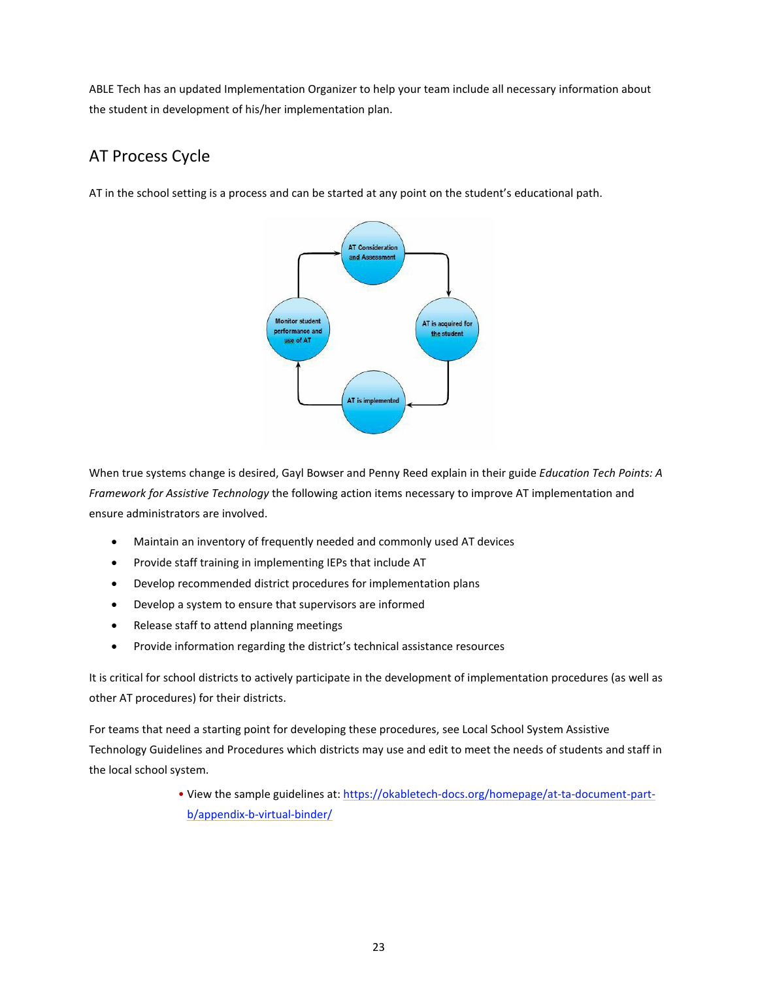ABLE Tech has an updated Implementation Organizer to help your team include all necessary information about the student in development of his/her implementation plan.

## <span id="page-25-0"></span>AT Process Cycle

AT in the school setting is a process and can be started at any point on the student's educational path.



When true systems change is desired, Gayl Bowser and Penny Reed explain in their guide *Education Tech Points: A Framework for Assistive Technology* the following action items necessary to improve AT implementation and ensure administrators are involved.

- Maintain an inventory of frequently needed and commonly used AT devices
- Provide staff training in implementing IEPs that include AT
- Develop recommended district procedures for implementation plans
- Develop a system to ensure that supervisors are informed
- Release staff to attend planning meetings
- Provide information regarding the district's technical assistance resources

It is critical for school districts to actively participate in the development of implementation procedures (as well as other AT procedures) for their districts.

For teams that need a starting point for developing these procedures, see Local School System Assistive Technology Guidelines and Procedures which districts may use and edit to meet the needs of students and staff in the local school system.

> • View the sample guidelines at[: https://okabletech-docs.org/homepage/at-ta-document-part](https://okabletech-docs.org/homepage/at-ta-document-part-b/appendix-b-virtual-binder/)[b/appendix-b-virtual-binder/](https://okabletech-docs.org/homepage/at-ta-document-part-b/appendix-b-virtual-binder/)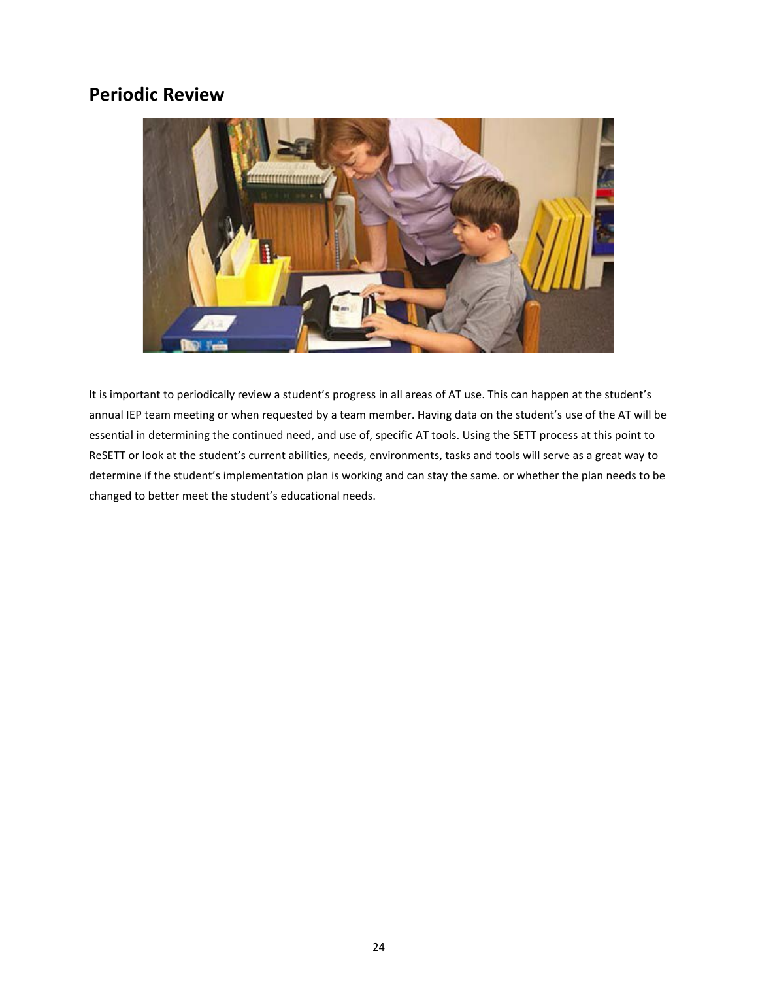## <span id="page-26-0"></span>**Periodic Review**



It is important to periodically review a student's progress in all areas of AT use. This can happen at the student's annual IEP team meeting or when requested by a team member. Having data on the student's use of the AT will be essential in determining the continued need, and use of, specific AT tools. Using the SETT process at this point to ReSETT or look at the student's current abilities, needs, environments, tasks and tools will serve as a great way to determine if the student's implementation plan is working and can stay the same. or whether the plan needs to be changed to better meet the student's educational needs.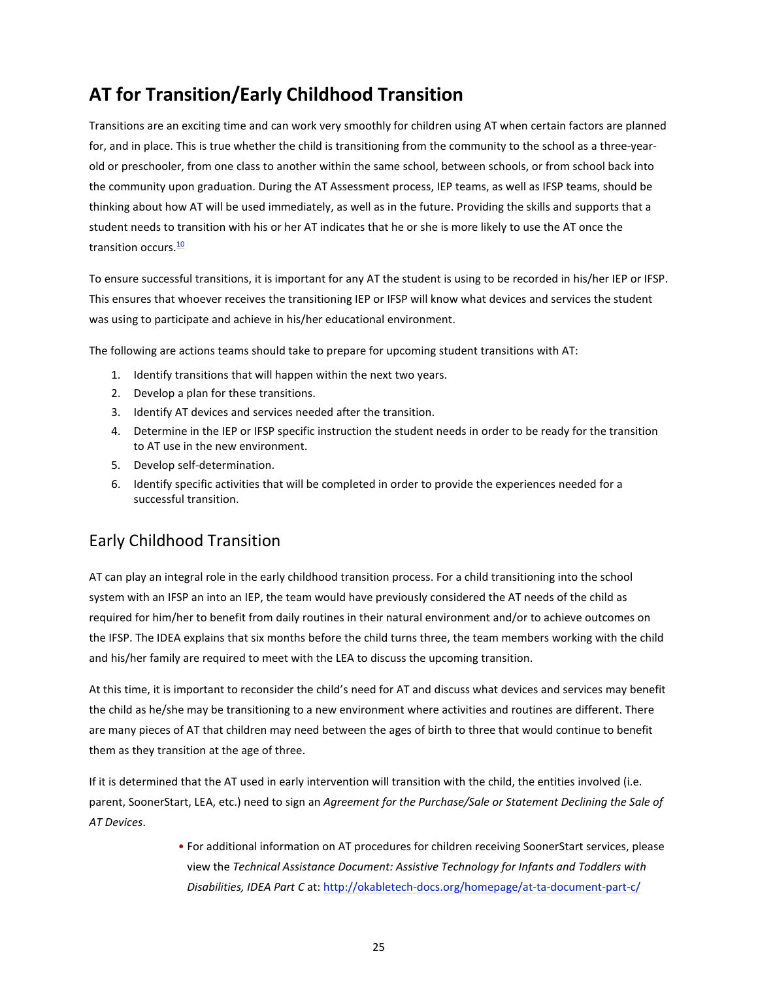## <span id="page-27-0"></span>**AT for Transition/Early Childhood Transition**

Transitions are an exciting time and can work very smoothly for children using AT when certain factors are planned for, and in place. This is true whether the child is transitioning from the community to the school as a three-yearold or preschooler, from one class to another within the same school, between schools, or from school back into the community upon graduation. During the AT Assessment process, IEP teams, as well as IFSP teams, should be thinking about how AT will be used immediately, as well as in the future. Providing the skills and supports that a student needs to transition with his or her AT indicates that he or she is more likely to use the AT once the transition occurs. $\frac{10}{2}$ 

To ensure successful transitions, it is important for any AT the student is using to be recorded in his/her IEP or IFSP. This ensures that whoever receives the transitioning IEP or IFSP will know what devices and services the student was using to participate and achieve in his/her educational environment.

The following are actions teams should take to prepare for upcoming student transitions with AT:

- 1. Identify transitions that will happen within the next two years.
- 2. Develop a plan for these transitions.
- 3. Identify AT devices and services needed after the transition.
- 4. Determine in the IEP or IFSP specific instruction the student needs in order to be ready for the transition to AT use in the new environment.
- 5. Develop self-determination.
- 6. Identify specific activities that will be completed in order to provide the experiences needed for a successful transition.

## <span id="page-27-1"></span>Early Childhood Transition

AT can play an integral role in the early childhood transition process. For a child transitioning into the school system with an IFSP an into an IEP, the team would have previously considered the AT needs of the child as required for him/her to benefit from daily routines in their natural environment and/or to achieve outcomes on the IFSP. The IDEA explains that six months before the child turns three, the team members working with the child and his/her family are required to meet with the LEA to discuss the upcoming transition.

At this time, it is important to reconsider the child's need for AT and discuss what devices and services may benefit the child as he/she may be transitioning to a new environment where activities and routines are different. There are many pieces of AT that children may need between the ages of birth to three that would continue to benefit them as they transition at the age of three.

If it is determined that the AT used in early intervention will transition with the child, the entities involved (i.e. parent, SoonerStart, LEA, etc.) need to sign an *Agreement for the Purchase/Sale or Statement Declining the Sale of AT Devices*.

> • For additional information on AT procedures for children receiving SoonerStart services, please view the *Technical Assistance Document: Assistive Technology for Infants and Toddlers with Disabilities, IDEA Part C* at: <http://okabletech-docs.org/homepage/at-ta-document-part-c/>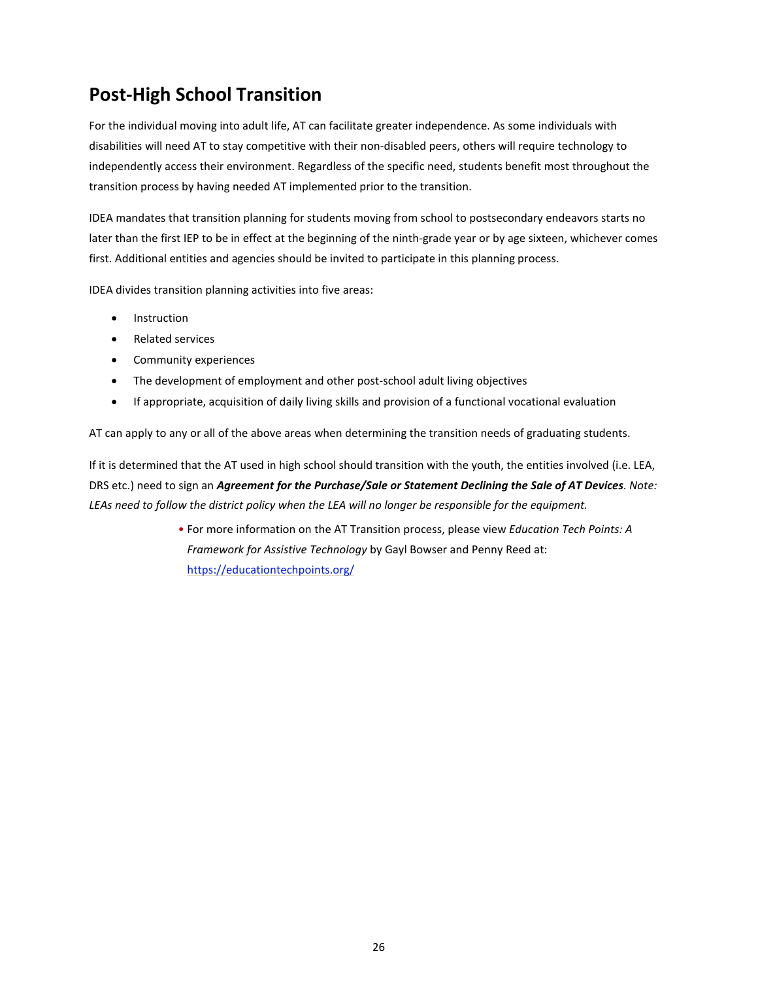## <span id="page-28-0"></span>**Post-High School Transition**

For the individual moving into adult life, AT can facilitate greater independence. As some individuals with disabilities will need AT to stay competitive with their non-disabled peers, others will require technology to independently access their environment. Regardless of the specific need, students benefit most throughout the transition process by having needed AT implemented prior to the transition.

IDEA mandates that transition planning for students moving from school to postsecondary endeavors starts no later than the first IEP to be in effect at the beginning of the ninth-grade year or by age sixteen, whichever comes first. Additional entities and agencies should be invited to participate in this planning process.

IDEA divides transition planning activities into five areas:

- **Instruction**
- Related services
- Community experiences
- The development of employment and other post-school adult living objectives
- If appropriate, acquisition of daily living skills and provision of a functional vocational evaluation

AT can apply to any or all of the above areas when determining the transition needs of graduating students.

If it is determined that the AT used in high school should transition with the youth, the entities involved (i.e. LEA, DRS etc.) need to sign an *Agreement for the Purchase/Sale or Statement Declining the Sale of AT Devices*. *Note: LEAs need to follow the district policy when the LEA will no longer be responsible for the equipment.*

> • For more information on the AT Transition process, please view *Education Tech Points: A Framework for Assistive Technology* by Gayl Bowser and Penny Reed at: <https://educationtechpoints.org/>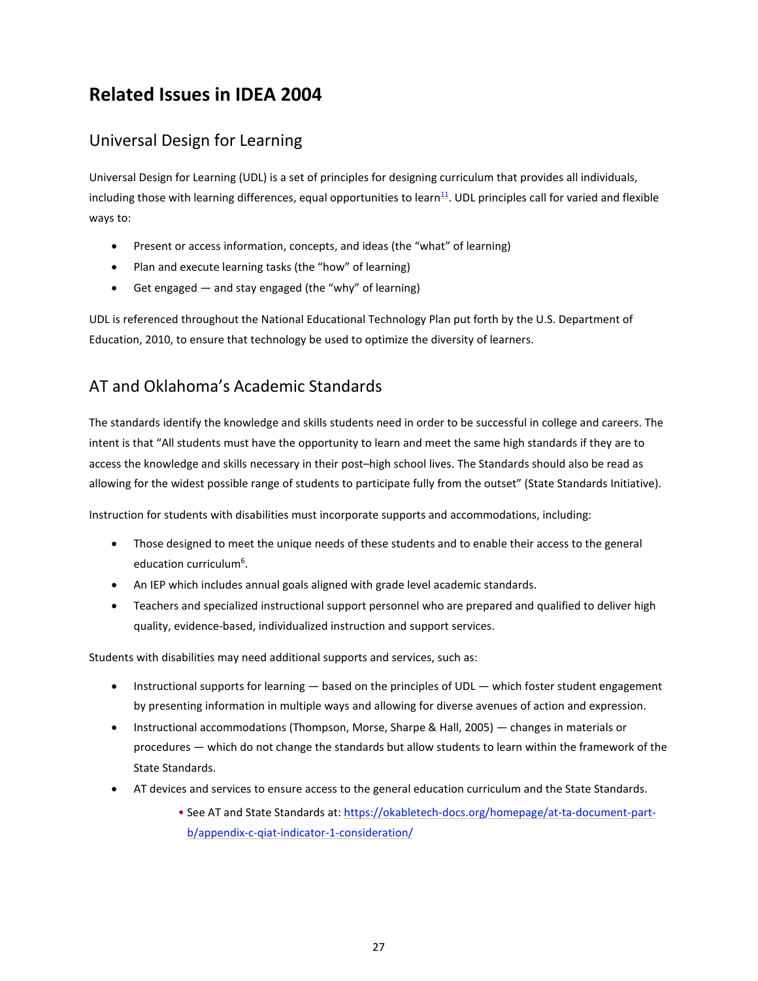## <span id="page-29-1"></span><span id="page-29-0"></span>**Related Issues in IDEA 2004**

## Universal Design for Learning

Universal Design for Learning (UDL) is a set of principles for designing curriculum that provides all individuals, including those with learning differences, equal opportunities to learn $11$ . UDL principles call for varied and flexible ways to:

- Present or access information, concepts, and ideas (the "what" of learning)
- Plan and execute learning tasks (the "how" of learning)
- Get engaged and stay engaged (the "why" of learning)

UDL is referenced throughout the National Educational Technology Plan put forth by the U.S. Department of Education, 2010, to ensure that technology be used to optimize the diversity of learners.

## <span id="page-29-2"></span>AT and Oklahoma's Academic Standards

The standards identify the knowledge and skills students need in order to be successful in college and careers. The intent is that "All students must have the opportunity to learn and meet the same high standards if they are to access the knowledge and skills necessary in their post–high school lives. The Standards should also be read as allowing for the widest possible range of students to participate fully from the outset" (State Standards Initiative).

Instruction for students with disabilities must incorporate supports and accommodations, including:

- Those designed to meet the unique needs of these students and to enable their access to the general education curriculum<sup>6</sup>.
- An IEP which includes annual goals aligned with grade level academic standards.
- Teachers and specialized instructional support personnel who are prepared and qualified to deliver high quality, evidence-based, individualized instruction and support services.

Students with disabilities may need additional supports and services, such as:

- Instructional supports for learning based on the principles of UDL which foster student engagement by presenting information in multiple ways and allowing for diverse avenues of action and expression.
- Instructional accommodations (Thompson, Morse, Sharpe & Hall, 2005) changes in materials or procedures — which do not change the standards but allow students to learn within the framework of the State Standards.
- AT devices and services to ensure access to the general education curriculum and the State Standards.
	- See AT and State Standards at: [https://okabletech-docs.org/homepage/at-ta-document-part](https://okabletech-docs.org/homepage/at-ta-document-part-b/appendix-c-qiat-indicator-1-consideration/)[b/appendix-c-qiat-indicator-1-consideration/](https://okabletech-docs.org/homepage/at-ta-document-part-b/appendix-c-qiat-indicator-1-consideration/)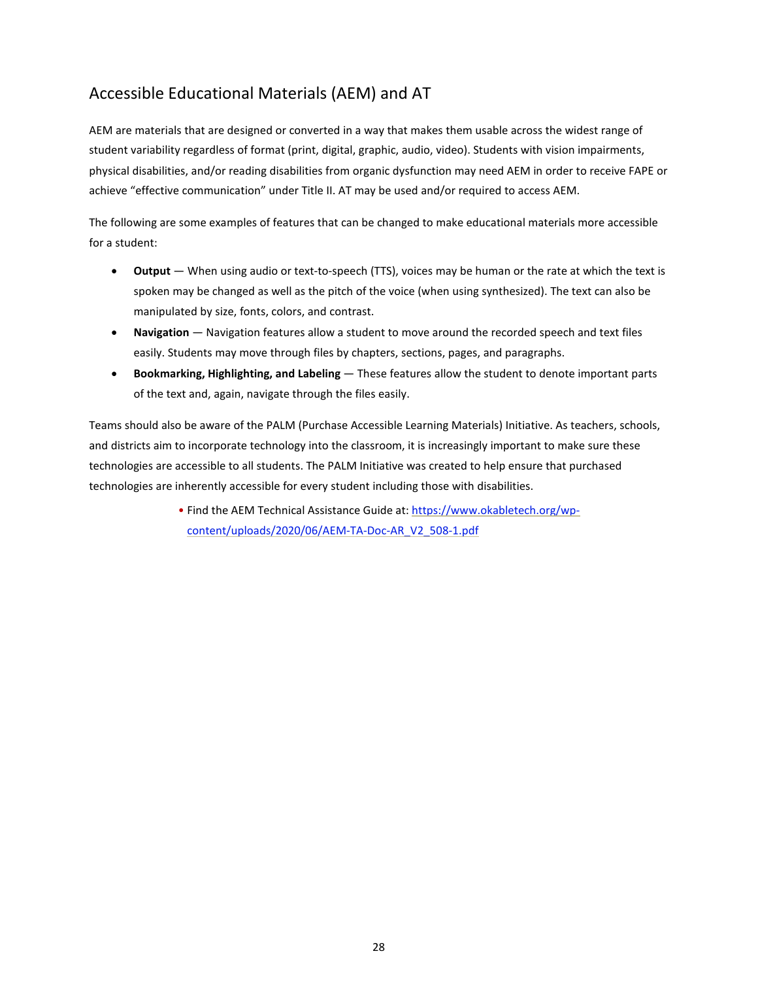## <span id="page-30-0"></span>Accessible Educational Materials (AEM) and AT

AEM are materials that are designed or converted in a way that makes them usable across the widest range of student variability regardless of format (print, digital, graphic, audio, video). Students with vision impairments, physical disabilities, and/or reading disabilities from organic dysfunction may need AEM in order to receive FAPE or achieve "effective communication" under Title II. AT may be used and/or required to access AEM.

The following are some examples of features that can be changed to make educational materials more accessible for a student:

- **Output** When using audio or text-to-speech (TTS), voices may be human or the rate at which the text is spoken may be changed as well as the pitch of the voice (when using synthesized). The text can also be manipulated by size, fonts, colors, and contrast.
- **Navigation** Navigation features allow a student to move around the recorded speech and text files easily. Students may move through files by chapters, sections, pages, and paragraphs.
- **Bookmarking, Highlighting, and Labeling** These features allow the student to denote important parts of the text and, again, navigate through the files easily.

Teams should also be aware of the PALM (Purchase Accessible Learning Materials) Initiative. As teachers, schools, and districts aim to incorporate technology into the classroom, it is increasingly important to make sure these technologies are accessible to all students. The PALM Initiative was created to help ensure that purchased technologies are inherently accessible for every student including those with disabilities.

> • Find the AEM Technical Assistance Guide at: [https://www.okabletech.org/wp](https://www.okabletech.org/wp-content/uploads/2020/06/AEM-TA-Doc-AR_V2_508-1.pdf)[content/uploads/2020/06/AEM-TA-Doc-AR\\_V2\\_508-1.pdf](https://www.okabletech.org/wp-content/uploads/2020/06/AEM-TA-Doc-AR_V2_508-1.pdf)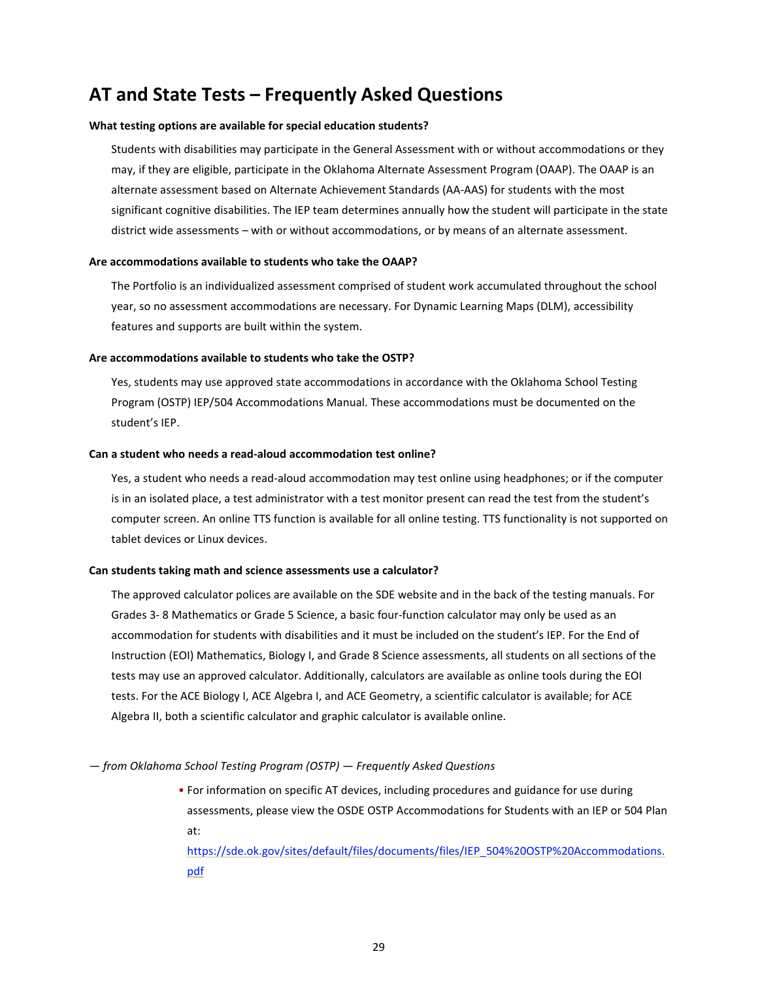## <span id="page-31-0"></span>**AT and State Tests – Frequently Asked Questions**

#### **What testing options are available for special education students?**

Students with disabilities may participate in the General Assessment with or without accommodations or they may, if they are eligible, participate in the Oklahoma Alternate Assessment Program (OAAP). The OAAP is an alternate assessment based on Alternate Achievement Standards (AA-AAS) for students with the most significant cognitive disabilities. The IEP team determines annually how the student will participate in the state district wide assessments – with or without accommodations, or by means of an alternate assessment.

#### **Are accommodations available to students who take the OAAP?**

The Portfolio is an individualized assessment comprised of student work accumulated throughout the school year, so no assessment accommodations are necessary. For Dynamic Learning Maps (DLM), accessibility features and supports are built within the system.

#### **Are accommodations available to students who take the OSTP?**

Yes, students may use approved state accommodations in accordance with the Oklahoma School Testing Program (OSTP) IEP/504 Accommodations Manual. These accommodations must be documented on the student's IEP.

#### **Can a student who needs a read-aloud accommodation test online?**

Yes, a student who needs a read-aloud accommodation may test online using headphones; or if the computer is in an isolated place, a test administrator with a test monitor present can read the test from the student's computer screen. An online TTS function is available for all online testing. TTS functionality is not supported on tablet devices or Linux devices.

#### **Can students taking math and science assessments use a calculator?**

The approved calculator polices are available on the SDE website and in the back of the testing manuals. For Grades 3- 8 Mathematics or Grade 5 Science, a basic four-function calculator may only be used as an accommodation for students with disabilities and it must be included on the student's IEP. For the End of Instruction (EOI) Mathematics, Biology I, and Grade 8 Science assessments, all students on all sections of the tests may use an approved calculator. Additionally, calculators are available as online tools during the EOI tests. For the ACE Biology I, ACE Algebra I, and ACE Geometry, a scientific calculator is available; for ACE Algebra II, both a scientific calculator and graphic calculator is available online.

— *from Oklahoma School Testing Program (OSTP) — Frequently Asked Questions*

• For information on specific AT devices, including procedures and guidance for use during assessments, please view the OSDE OSTP Accommodations for Students with an IEP or 504 Plan at:

[https://sde.ok.gov/sites/default/files/documents/files/IEP\\_504%20OSTP%20Accommodations.](https://sde.ok.gov/sites/default/files/documents/files/IEP_504%20OSTP%20Accommodations.pdf) [pdf](https://sde.ok.gov/sites/default/files/documents/files/IEP_504%20OSTP%20Accommodations.pdf)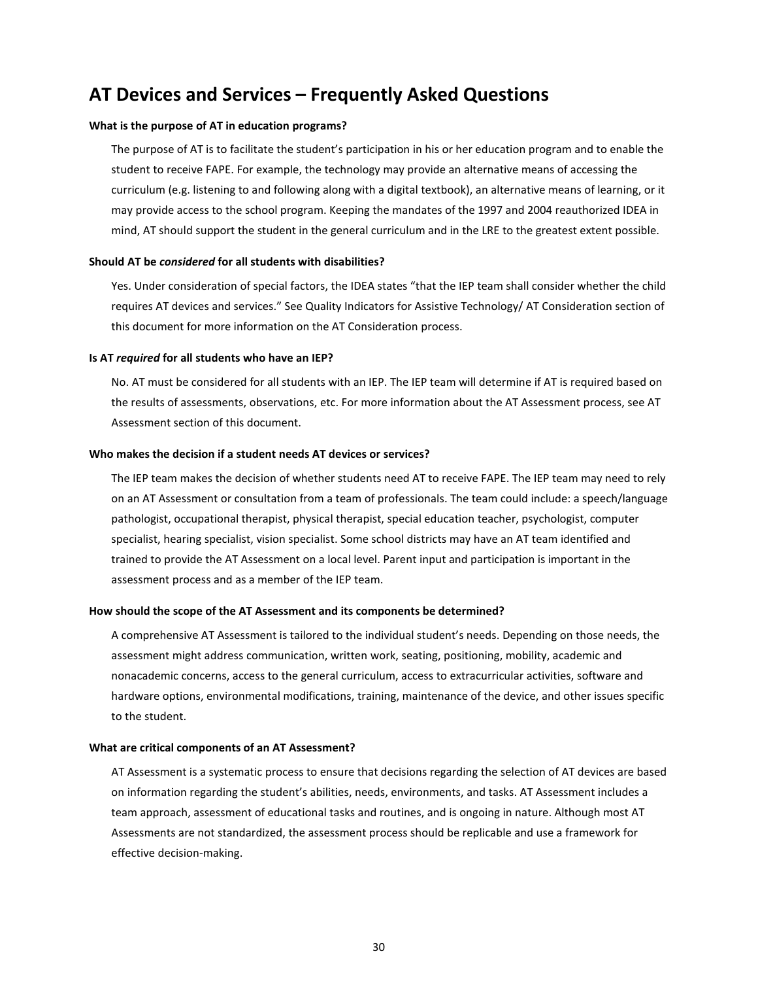## <span id="page-32-0"></span>**AT Devices and Services – Frequently Asked Questions**

#### **What is the purpose of AT in education programs?**

The purpose of AT is to facilitate the student's participation in his or her education program and to enable the student to receive FAPE. For example, the technology may provide an alternative means of accessing the curriculum (e.g. listening to and following along with a digital textbook), an alternative means of learning, or it may provide access to the school program. Keeping the mandates of the 1997 and 2004 reauthorized IDEA in mind, AT should support the student in the general curriculum and in the LRE to the greatest extent possible.

#### **Should AT be** *considered* **for all students with disabilities?**

Yes. Under consideration of special factors, the IDEA states "that the IEP team shall consider whether the child requires AT devices and services." See Quality Indicators for Assistive Technology/ AT Consideration section of this document for more information on the AT Consideration process.

#### **Is AT** *required* **for all students who have an IEP?**

No. AT must be considered for all students with an IEP. The IEP team will determine if AT is required based on the results of assessments, observations, etc. For more information about the AT Assessment process, see AT Assessment section of this document.

#### **Who makes the decision if a student needs AT devices or services?**

The IEP team makes the decision of whether students need AT to receive FAPE. The IEP team may need to rely on an AT Assessment or consultation from a team of professionals. The team could include: a speech/language pathologist, occupational therapist, physical therapist, special education teacher, psychologist, computer specialist, hearing specialist, vision specialist. Some school districts may have an AT team identified and trained to provide the AT Assessment on a local level. Parent input and participation is important in the assessment process and as a member of the IEP team.

#### **How should the scope of the AT Assessment and its components be determined?**

A comprehensive AT Assessment is tailored to the individual student's needs. Depending on those needs, the assessment might address communication, written work, seating, positioning, mobility, academic and nonacademic concerns, access to the general curriculum, access to extracurricular activities, software and hardware options, environmental modifications, training, maintenance of the device, and other issues specific to the student.

#### **What are critical components of an AT Assessment?**

AT Assessment is a systematic process to ensure that decisions regarding the selection of AT devices are based on information regarding the student's abilities, needs, environments, and tasks. AT Assessment includes a team approach, assessment of educational tasks and routines, and is ongoing in nature. Although most AT Assessments are not standardized, the assessment process should be replicable and use a framework for effective decision-making.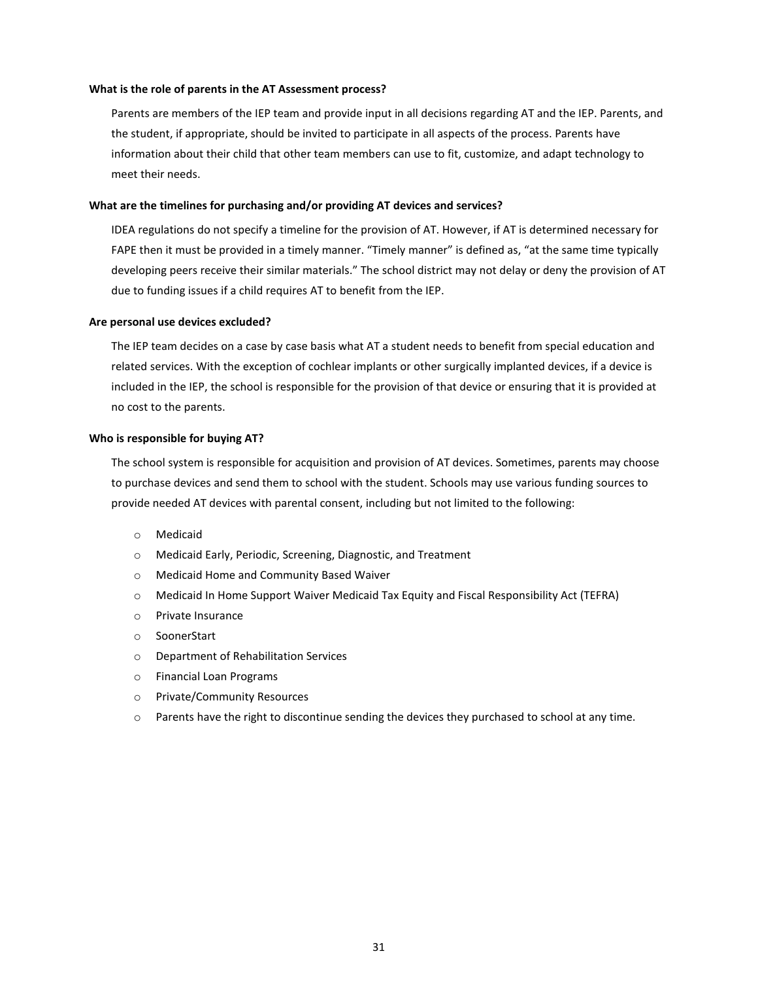#### **What is the role of parents in the AT Assessment process?**

Parents are members of the IEP team and provide input in all decisions regarding AT and the IEP. Parents, and the student, if appropriate, should be invited to participate in all aspects of the process. Parents have information about their child that other team members can use to fit, customize, and adapt technology to meet their needs.

#### **What are the timelines for purchasing and/or providing AT devices and services?**

IDEA regulations do not specify a timeline for the provision of AT. However, if AT is determined necessary for FAPE then it must be provided in a timely manner. "Timely manner" is defined as, "at the same time typically developing peers receive their similar materials." The school district may not delay or deny the provision of AT due to funding issues if a child requires AT to benefit from the IEP.

#### **Are personal use devices excluded?**

The IEP team decides on a case by case basis what AT a student needs to benefit from special education and related services. With the exception of cochlear implants or other surgically implanted devices, if a device is included in the IEP, the school is responsible for the provision of that device or ensuring that it is provided at no cost to the parents.

#### **Who is responsible for buying AT?**

The school system is responsible for acquisition and provision of AT devices. Sometimes, parents may choose to purchase devices and send them to school with the student. Schools may use various funding sources to provide needed AT devices with parental consent, including but not limited to the following:

- o Medicaid
- o Medicaid Early, Periodic, Screening, Diagnostic, and Treatment
- o Medicaid Home and Community Based Waiver
- o Medicaid In Home Support Waiver Medicaid Tax Equity and Fiscal Responsibility Act (TEFRA)
- o Private Insurance
- o SoonerStart
- o Department of Rehabilitation Services
- o Financial Loan Programs
- o Private/Community Resources
- $\circ$  Parents have the right to discontinue sending the devices they purchased to school at any time.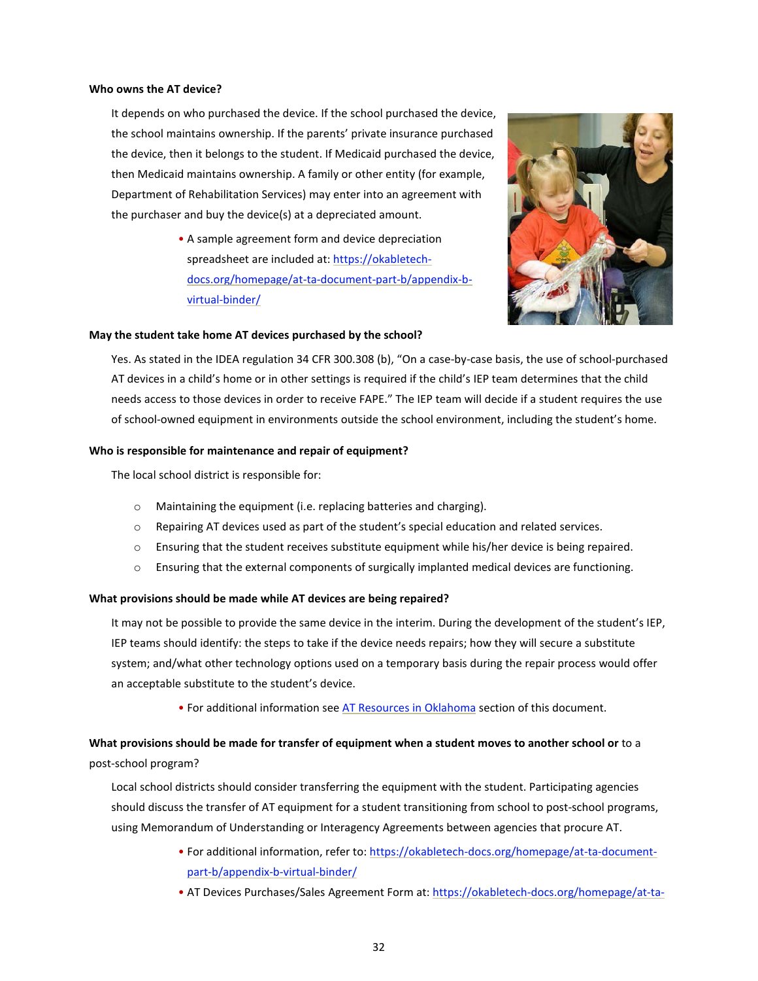#### **Who owns the AT device?**

It depends on who purchased the device. If the school purchased the device, the school maintains ownership. If the parents' private insurance purchased the device, then it belongs to the student. If Medicaid purchased the device, then Medicaid maintains ownership. A family or other entity (for example, Department of Rehabilitation Services) may enter into an agreement with the purchaser and buy the device(s) at a depreciated amount.

> • A sample agreement form and device depreciation spreadsheet are included at[: https://okabletech](https://okabletech-docs.org/homepage/at-ta-document-part-b/appendix-b-virtual-binder/)[docs.org/homepage/at-ta-document-part-b/appendix-b](https://okabletech-docs.org/homepage/at-ta-document-part-b/appendix-b-virtual-binder/)[virtual-binder/](https://okabletech-docs.org/homepage/at-ta-document-part-b/appendix-b-virtual-binder/)



#### **May the student take home AT devices purchased by the school?**

Yes. As stated in the IDEA regulation 34 CFR 300.308 (b), "On a case-by-case basis, the use of school-purchased AT devices in a child's home or in other settings is required if the child's IEP team determines that the child needs access to those devices in order to receive FAPE." The IEP team will decide if a student requires the use of school-owned equipment in environments outside the school environment, including the student's home.

#### **Who is responsible for maintenance and repair of equipment?**

The local school district is responsible for:

- o Maintaining the equipment (i.e. replacing batteries and charging).
- o Repairing AT devices used as part of the student's special education and related services.
- $\circ$  Ensuring that the student receives substitute equipment while his/her device is being repaired.
- $\circ$  Ensuring that the external components of surgically implanted medical devices are functioning.

#### **What provisions should be made while AT devices are being repaired?**

It may not be possible to provide the same device in the interim. During the development of the student's IEP, IEP teams should identify: the steps to take if the device needs repairs; how they will secure a substitute system; and/what other technology options used on a temporary basis during the repair process would offer an acceptable substitute to the student's device.

• For additional information se[e AT Resources in Oklahoma](#page-36-0) section of this document.

## **What provisions should be made for transfer of equipment when a student moves to another school or** to a

post-school program?

Local school districts should consider transferring the equipment with the student. Participating agencies should discuss the transfer of AT equipment for a student transitioning from school to post-school programs, using Memorandum of Understanding or Interagency Agreements between agencies that procure AT.

- For additional information, refer to: [https://okabletech-docs.org/homepage/at-ta-document](https://okabletech-docs.org/homepage/at-ta-document-part-b/appendix-b-virtual-binder/)[part-b/appendix-b-virtual-binder/](https://okabletech-docs.org/homepage/at-ta-document-part-b/appendix-b-virtual-binder/)
- AT Devices Purchases/Sales Agreement Form at[: https://okabletech-docs.org/homepage/at-ta-](https://okabletech-docs.org/homepage/at-ta-document-part-b/appendix-b-virtual-binder/74-at-transition/75-agreement-for-the-purchase-sale-of-at/)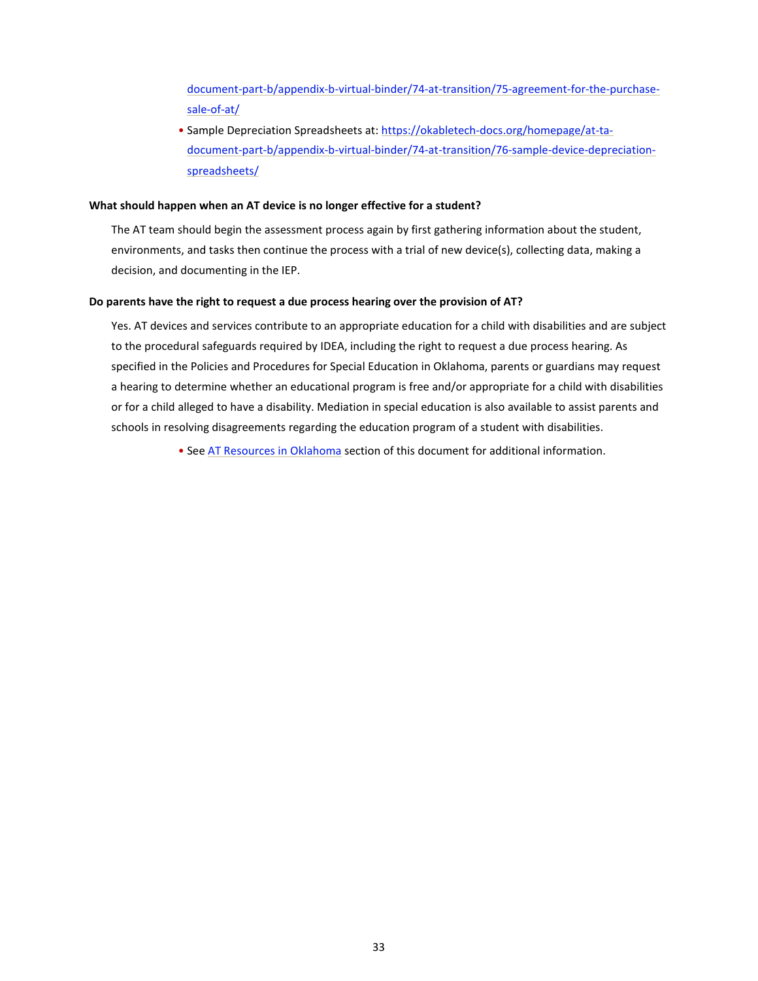[document-part-b/appendix-b-virtual-binder/74-at-transition/75-agreement-for-the-purchase](https://okabletech-docs.org/homepage/at-ta-document-part-b/appendix-b-virtual-binder/74-at-transition/75-agreement-for-the-purchase-sale-of-at/)[sale-of-at/](https://okabletech-docs.org/homepage/at-ta-document-part-b/appendix-b-virtual-binder/74-at-transition/75-agreement-for-the-purchase-sale-of-at/)

• Sample Depreciation Spreadsheets at: [https://okabletech-docs.org/homepage/at-ta](https://okabletech-docs.org/homepage/at-ta-document-part-b/appendix-b-virtual-binder/74-at-transition/76-sample-device-depreciation-spreadsheets/)[document-part-b/appendix-b-virtual-binder/74-at-transition/76-sample-device-depreciation](https://okabletech-docs.org/homepage/at-ta-document-part-b/appendix-b-virtual-binder/74-at-transition/76-sample-device-depreciation-spreadsheets/)[spreadsheets/](https://okabletech-docs.org/homepage/at-ta-document-part-b/appendix-b-virtual-binder/74-at-transition/76-sample-device-depreciation-spreadsheets/)

#### **What should happen when an AT device is no longer effective for a student?**

The AT team should begin the assessment process again by first gathering information about the student, environments, and tasks then continue the process with a trial of new device(s), collecting data, making a decision, and documenting in the IEP.

#### **Do parents have the right to request a due process hearing over the provision of AT?**

Yes. AT devices and services contribute to an appropriate education for a child with disabilities and are subject to the procedural safeguards required by IDEA, including the right to request a due process hearing. As specified in the Policies and Procedures for Special Education in Oklahoma, parents or guardians may request a hearing to determine whether an educational program is free and/or appropriate for a child with disabilities or for a child alleged to have a disability. Mediation in special education is also available to assist parents and schools in resolving disagreements regarding the education program of a student with disabilities.

• See [AT Resources in Oklahoma](#page-36-0) section of this document for additional information.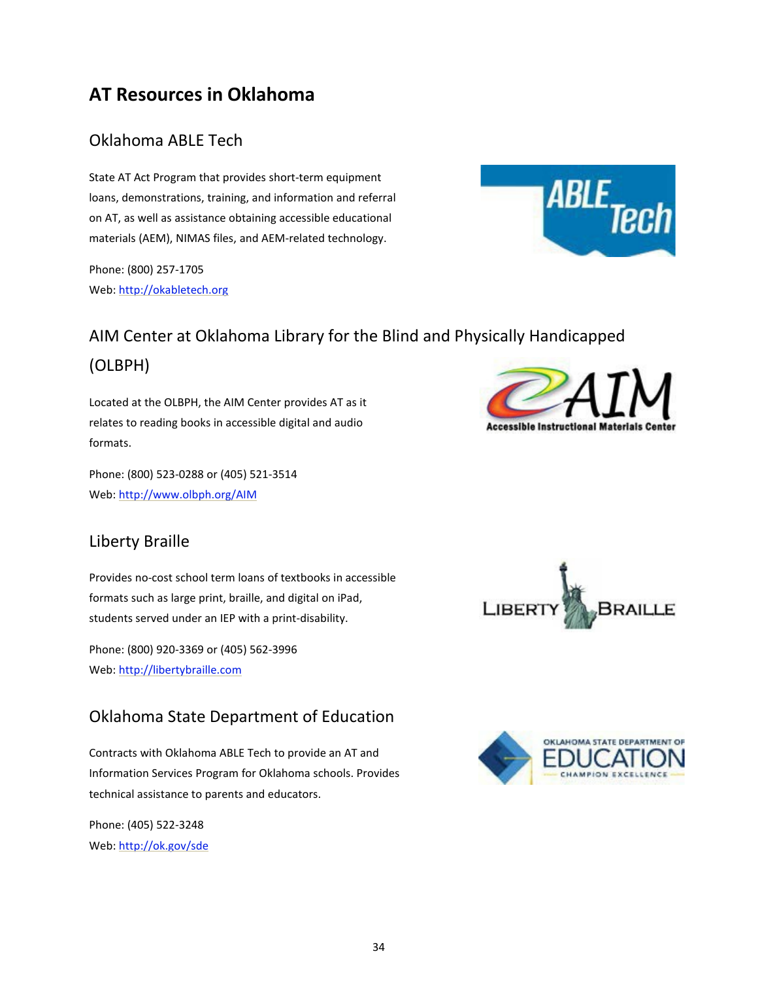## <span id="page-36-1"></span><span id="page-36-0"></span>**AT Resources in Oklahoma**

## Oklahoma ABLE Tech

State AT Act Program that provides short-term equipment loans, demonstrations, training, and information and referral on AT, as well as assistance obtaining accessible educational materials (AEM), NIMAS files, and AEM-related technology.

Phone: (800) 257-1705 Web: [http://okabletech.org](http://okabletech.org/)



## <span id="page-36-2"></span>AIM Center at Oklahoma Library for the Blind and Physically Handicapped (OLBPH)

Located at the OLBPH, the AIM Center provides AT as it relates to reading books in accessible digital and audio formats.

Phone: (800) 523-0288 or (405) 521-3514 Web:<http://www.olbph.org/AIM>

## <span id="page-36-3"></span>Liberty Braille

Provides no-cost school term loans of textbooks in accessible formats such as large print, braille, and digital on iPad, students served under an IEP with a print-disability.

Phone: (800) 920-3369 or (405) 562-3996 Web: [http://libertybraille.com](http://libertybraille.com/)

## <span id="page-36-4"></span>Oklahoma State Department of Education

Contracts with Oklahoma ABLE Tech to provide an AT and Information Services Program for Oklahoma schools. Provides technical assistance to parents and educators.

Phone: (405) 522-3248 Web:<http://ok.gov/sde>





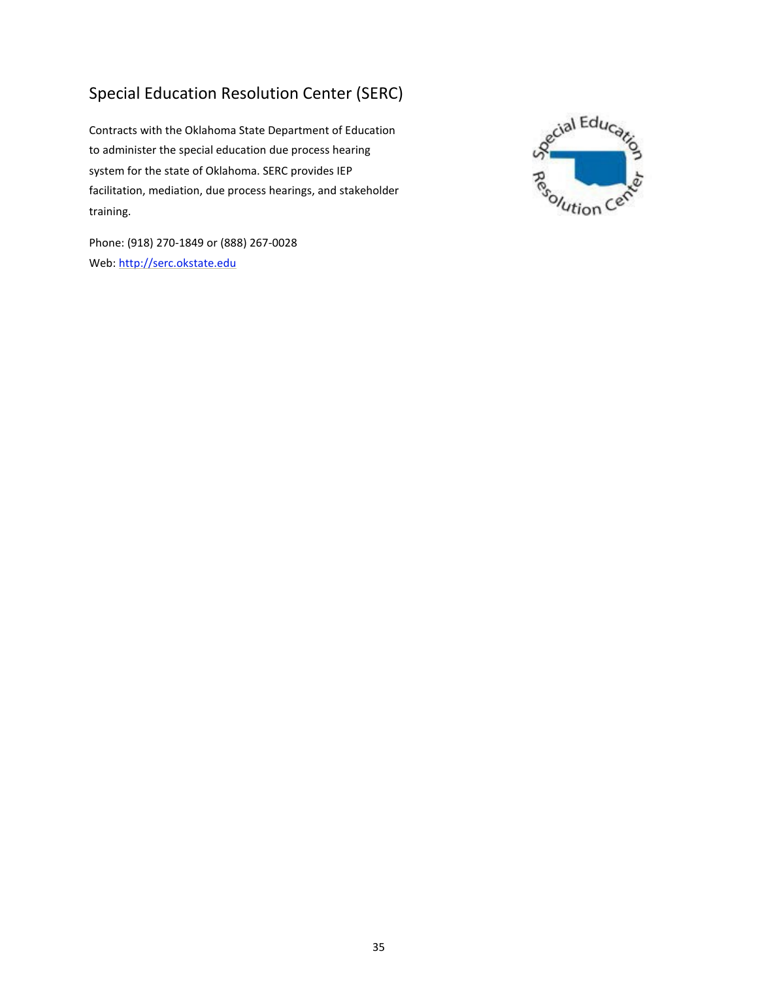## <span id="page-37-0"></span>Special Education Resolution Center (SERC)

Contracts with the Oklahoma State Department of Education to administer the special education due process hearing system for the state of Oklahoma. SERC provides IEP facilitation, mediation, due process hearings, and stakeholder training.



Phone: (918) 270-1849 or (888) 267-0028 Web: [http://serc.okstate.edu](http://serc.okstate.edu/)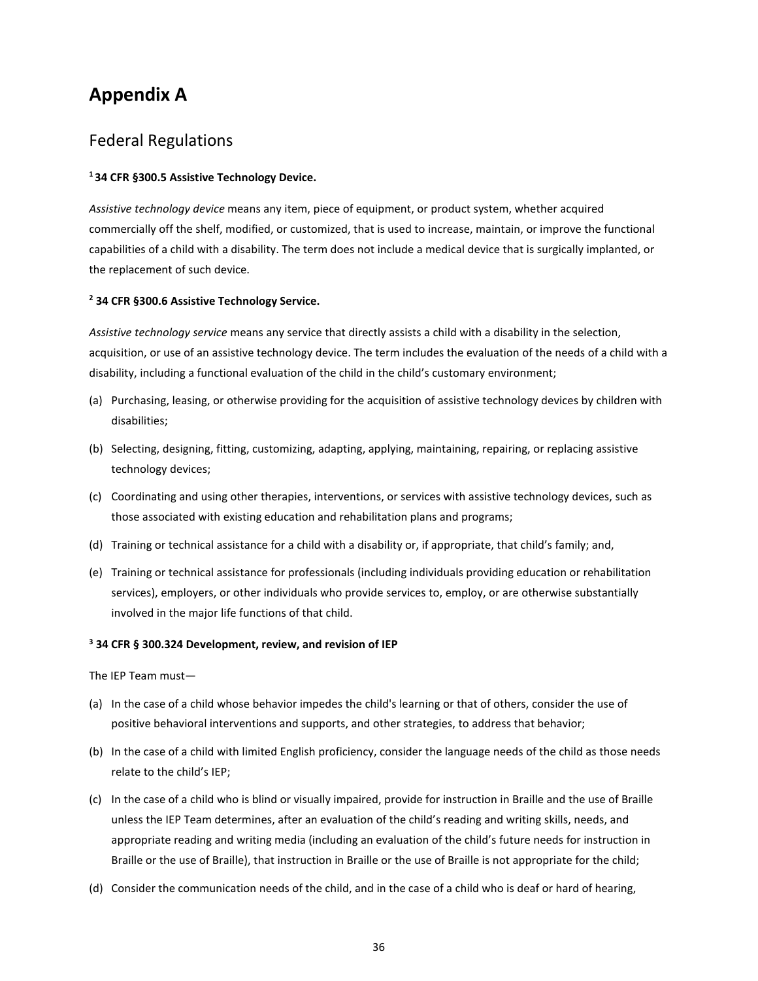## <span id="page-38-1"></span><span id="page-38-0"></span>**Appendix A**

### Federal Regulations

#### <span id="page-38-2"></span>**<sup>1</sup> 34 CFR §300.5 Assistive Technology Device.**

*Assistive technology device* means any item, piece of equipment, or product system, whether acquired commercially off the shelf, modified, or customized, that is used to increase, maintain, or improve the functional capabilities of a child with a disability. The term does not include a medical device that is surgically implanted, or the replacement of such device.

#### <span id="page-38-3"></span>**<sup>2</sup> 34 CFR §300.6 Assistive Technology Service.**

*Assistive technology service* means any service that directly assists a child with a disability in the selection, acquisition, or use of an assistive technology device. The term includes the evaluation of the needs of a child with a disability, including a functional evaluation of the child in the child's customary environment;

- (a) Purchasing, leasing, or otherwise providing for the acquisition of assistive technology devices by children with disabilities;
- (b) Selecting, designing, fitting, customizing, adapting, applying, maintaining, repairing, or replacing assistive technology devices;
- (c) Coordinating and using other therapies, interventions, or services with assistive technology devices, such as those associated with existing education and rehabilitation plans and programs;
- (d) Training or technical assistance for a child with a disability or, if appropriate, that child's family; and,
- (e) Training or technical assistance for professionals (including individuals providing education or rehabilitation services), employers, or other individuals who provide services to, employ, or are otherwise substantially involved in the major life functions of that child.

#### <span id="page-38-4"></span>**<sup>3</sup> 34 CFR § 300.324 Development, review, and revision of IEP**

The IEP Team must—

- (a) In the case of a child whose behavior impedes the child's learning or that of others, consider the use of positive behavioral interventions and supports, and other strategies, to address that behavior;
- (b) In the case of a child with limited English proficiency, consider the language needs of the child as those needs relate to the child's IEP;
- (c) In the case of a child who is blind or visually impaired, provide for instruction in Braille and the use of Braille unless the IEP Team determines, after an evaluation of the child's reading and writing skills, needs, and appropriate reading and writing media (including an evaluation of the child's future needs for instruction in Braille or the use of Braille), that instruction in Braille or the use of Braille is not appropriate for the child;
- (d) Consider the communication needs of the child, and in the case of a child who is deaf or hard of hearing,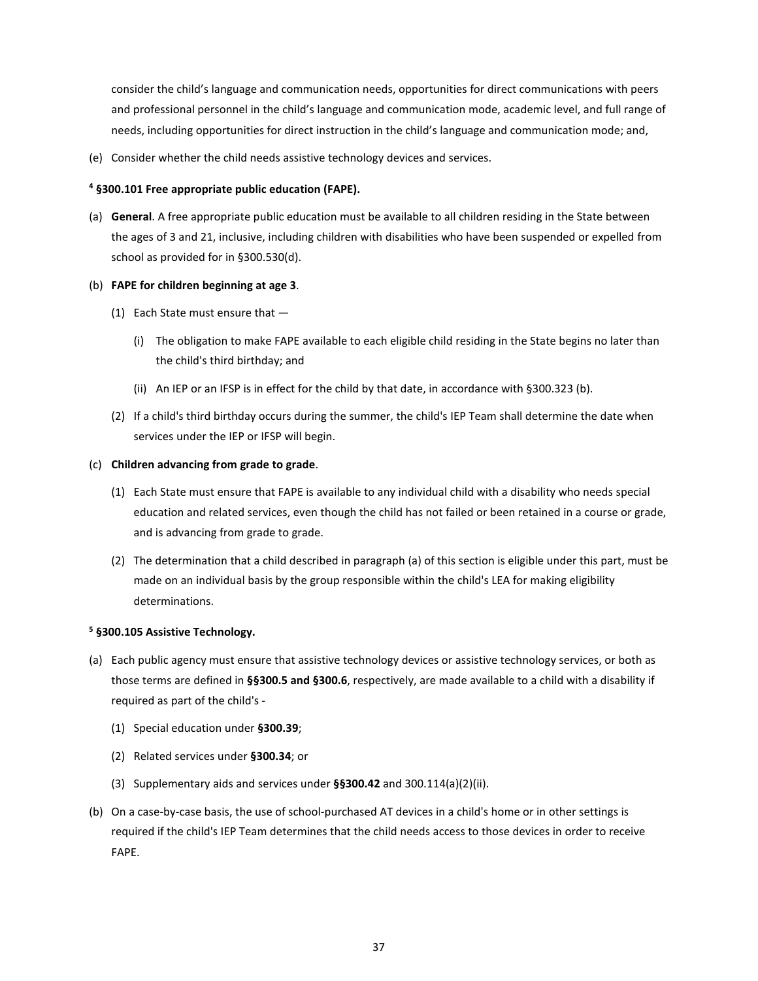consider the child's language and communication needs, opportunities for direct communications with peers and professional personnel in the child's language and communication mode, academic level, and full range of needs, including opportunities for direct instruction in the child's language and communication mode; and,

(e) Consider whether the child needs assistive technology devices and services.

#### <span id="page-39-0"></span>**<sup>4</sup> §300.101 Free appropriate public education (FAPE).**

(a) **General**. A free appropriate public education must be available to all children residing in the State between the ages of 3 and 21, inclusive, including children with disabilities who have been suspended or expelled from school as provided for in §300.530(d).

#### (b) **FAPE for children beginning at age 3**.

- (1) Each State must ensure that
	- (i) The obligation to make FAPE available to each eligible child residing in the State begins no later than the child's third birthday; and
	- (ii) An IEP or an IFSP is in effect for the child by that date, in accordance with §300.323 (b).
- (2) If a child's third birthday occurs during the summer, the child's IEP Team shall determine the date when services under the IEP or IFSP will begin.

#### (c) **Children advancing from grade to grade**.

- (1) Each State must ensure that FAPE is available to any individual child with a disability who needs special education and related services, even though the child has not failed or been retained in a course or grade, and is advancing from grade to grade.
- (2) The determination that a child described in paragraph (a) of this section is eligible under this part, must be made on an individual basis by the group responsible within the child's LEA for making eligibility determinations.

#### <span id="page-39-1"></span>**<sup>5</sup> §300.105 Assistive Technology.**

- (a) Each public agency must ensure that assistive technology devices or assistive technology services, or both as those terms are defined in **§§300.5 and §300.6**, respectively, are made available to a child with a disability if required as part of the child's -
	- (1) Special education under **§300.39**;
	- (2) Related services under **§300.34**; or
	- (3) Supplementary aids and services under **§§300.42** and 300.114(a)(2)(ii).
- (b) On a case-by-case basis, the use of school-purchased AT devices in a child's home or in other settings is required if the child's IEP Team determines that the child needs access to those devices in order to receive FAPE.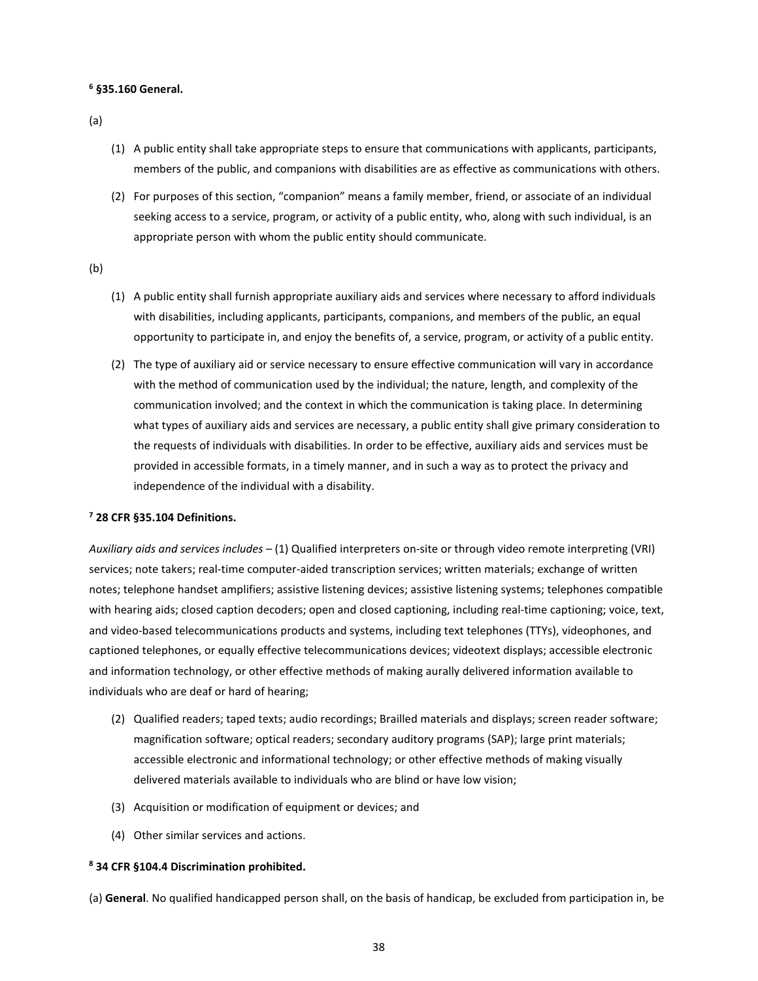#### <span id="page-40-0"></span>**<sup>6</sup> §35.160 General.**

(a)

- (1) A public entity shall take appropriate steps to ensure that communications with applicants, participants, members of the public, and companions with disabilities are as effective as communications with others.
- (2) For purposes of this section, "companion" means a family member, friend, or associate of an individual seeking access to a service, program, or activity of a public entity, who, along with such individual, is an appropriate person with whom the public entity should communicate.

#### (b)

- (1) A public entity shall furnish appropriate auxiliary aids and services where necessary to afford individuals with disabilities, including applicants, participants, companions, and members of the public, an equal opportunity to participate in, and enjoy the benefits of, a service, program, or activity of a public entity.
- (2) The type of auxiliary aid or service necessary to ensure effective communication will vary in accordance with the method of communication used by the individual; the nature, length, and complexity of the communication involved; and the context in which the communication is taking place. In determining what types of auxiliary aids and services are necessary, a public entity shall give primary consideration to the requests of individuals with disabilities. In order to be effective, auxiliary aids and services must be provided in accessible formats, in a timely manner, and in such a way as to protect the privacy and independence of the individual with a disability.

#### <span id="page-40-1"></span>**<sup>7</sup> 28 CFR §35.104 Definitions.**

*Auxiliary aids and services includes* – (1) Qualified interpreters on-site or through video remote interpreting (VRI) services; note takers; real-time computer-aided transcription services; written materials; exchange of written notes; telephone handset amplifiers; assistive listening devices; assistive listening systems; telephones compatible with hearing aids; closed caption decoders; open and closed captioning, including real-time captioning; voice, text, and video-based telecommunications products and systems, including text telephones (TTYs), videophones, and captioned telephones, or equally effective telecommunications devices; videotext displays; accessible electronic and information technology, or other effective methods of making aurally delivered information available to individuals who are deaf or hard of hearing;

- (2) Qualified readers; taped texts; audio recordings; Brailled materials and displays; screen reader software; magnification software; optical readers; secondary auditory programs (SAP); large print materials; accessible electronic and informational technology; or other effective methods of making visually delivered materials available to individuals who are blind or have low vision;
- (3) Acquisition or modification of equipment or devices; and
- (4) Other similar services and actions.

#### <span id="page-40-2"></span>**<sup>8</sup> 34 CFR §104.4 Discrimination prohibited.**

(a) **General**. No qualified handicapped person shall, on the basis of handicap, be excluded from participation in, be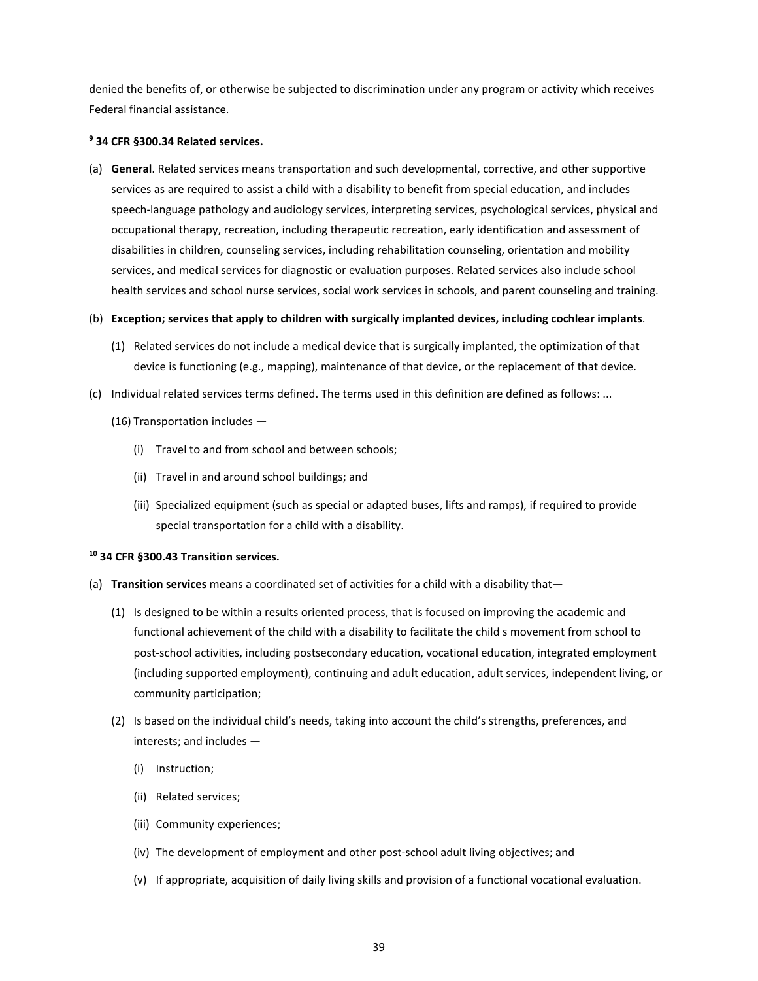denied the benefits of, or otherwise be subjected to discrimination under any program or activity which receives Federal financial assistance.

#### <span id="page-41-0"></span>**<sup>9</sup> 34 CFR §300.34 Related services.**

(a) **General**. Related services means transportation and such developmental, corrective, and other supportive services as are required to assist a child with a disability to benefit from special education, and includes speech-language pathology and audiology services, interpreting services, psychological services, physical and occupational therapy, recreation, including therapeutic recreation, early identification and assessment of disabilities in children, counseling services, including rehabilitation counseling, orientation and mobility services, and medical services for diagnostic or evaluation purposes. Related services also include school health services and school nurse services, social work services in schools, and parent counseling and training.

#### (b) **Exception; services that apply to children with surgically implanted devices, including cochlear implants**.

- (1) Related services do not include a medical device that is surgically implanted, the optimization of that device is functioning (e.g., mapping), maintenance of that device, or the replacement of that device.
- (c) Individual related services terms defined. The terms used in this definition are defined as follows: ...
	- (16) Transportation includes
		- (i) Travel to and from school and between schools;
		- (ii) Travel in and around school buildings; and
		- (iii) Specialized equipment (such as special or adapted buses, lifts and ramps), if required to provide special transportation for a child with a disability.

#### <span id="page-41-1"></span>**<sup>10</sup> 34 CFR §300.43 Transition services.**

- (a) **Transition services** means a coordinated set of activities for a child with a disability that—
	- (1) Is designed to be within a results oriented process, that is focused on improving the academic and functional achievement of the child with a disability to facilitate the child s movement from school to post-school activities, including postsecondary education, vocational education, integrated employment (including supported employment), continuing and adult education, adult services, independent living, or community participation;
	- (2) Is based on the individual child's needs, taking into account the child's strengths, preferences, and interests; and includes —
		- (i) Instruction;
		- (ii) Related services;
		- (iii) Community experiences;
		- (iv) The development of employment and other post-school adult living objectives; and
		- (v) If appropriate, acquisition of daily living skills and provision of a functional vocational evaluation.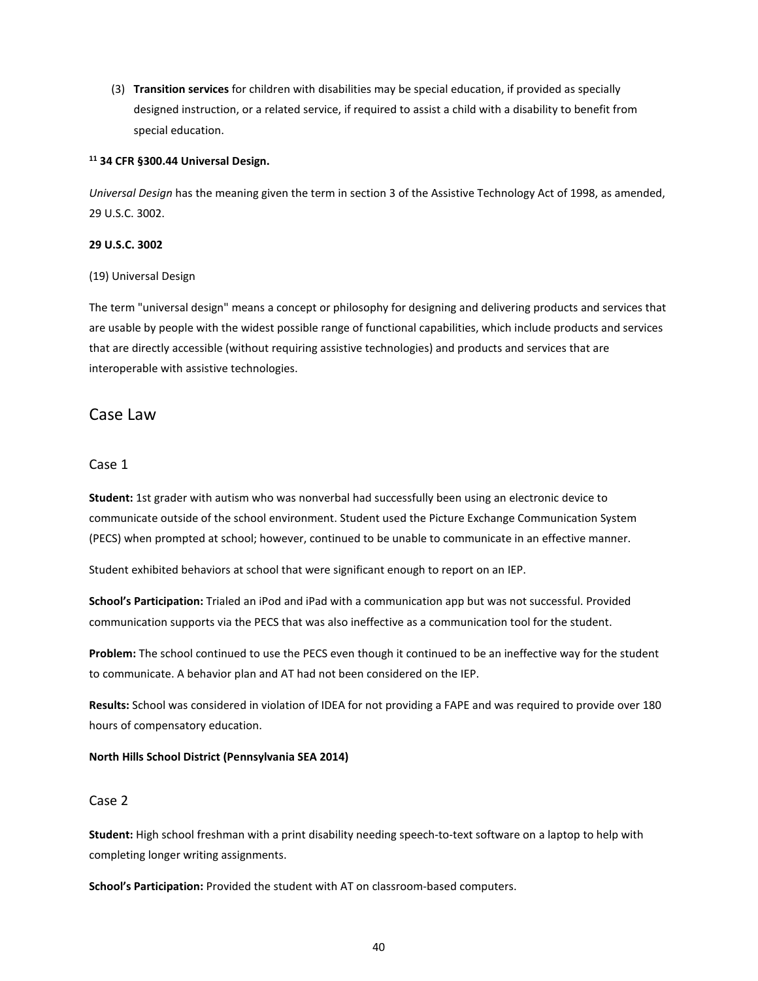(3) **Transition services** for children with disabilities may be special education, if provided as specially designed instruction, or a related service, if required to assist a child with a disability to benefit from special education.

#### <span id="page-42-3"></span>**<sup>11</sup> 34 CFR §300.44 Universal Design.**

*Universal Design* has the meaning given the term in section 3 of the Assistive Technology Act of 1998, as amended, 29 U.S.C. 3002.

#### **29 U.S.C. 3002**

#### (19) Universal Design

The term "universal design" means a concept or philosophy for designing and delivering products and services that are usable by people with the widest possible range of functional capabilities, which include products and services that are directly accessible (without requiring assistive technologies) and products and services that are interoperable with assistive technologies.

#### <span id="page-42-1"></span><span id="page-42-0"></span>Case Law

#### Case 1

**Student:** 1st grader with autism who was nonverbal had successfully been using an electronic device to communicate outside of the school environment. Student used the Picture Exchange Communication System (PECS) when prompted at school; however, continued to be unable to communicate in an effective manner.

Student exhibited behaviors at school that were significant enough to report on an IEP.

**School's Participation:** Trialed an iPod and iPad with a communication app but was not successful. Provided communication supports via the PECS that was also ineffective as a communication tool for the student.

**Problem:** The school continued to use the PECS even though it continued to be an ineffective way for the student to communicate. A behavior plan and AT had not been considered on the IEP.

**Results:** School was considered in violation of IDEA for not providing a FAPE and was required to provide over 180 hours of compensatory education.

#### <span id="page-42-2"></span>**North Hills School District (Pennsylvania SEA 2014)**

#### Case 2

**Student:** High school freshman with a print disability needing speech-to-text software on a laptop to help with completing longer writing assignments.

**School's Participation:** Provided the student with AT on classroom-based computers.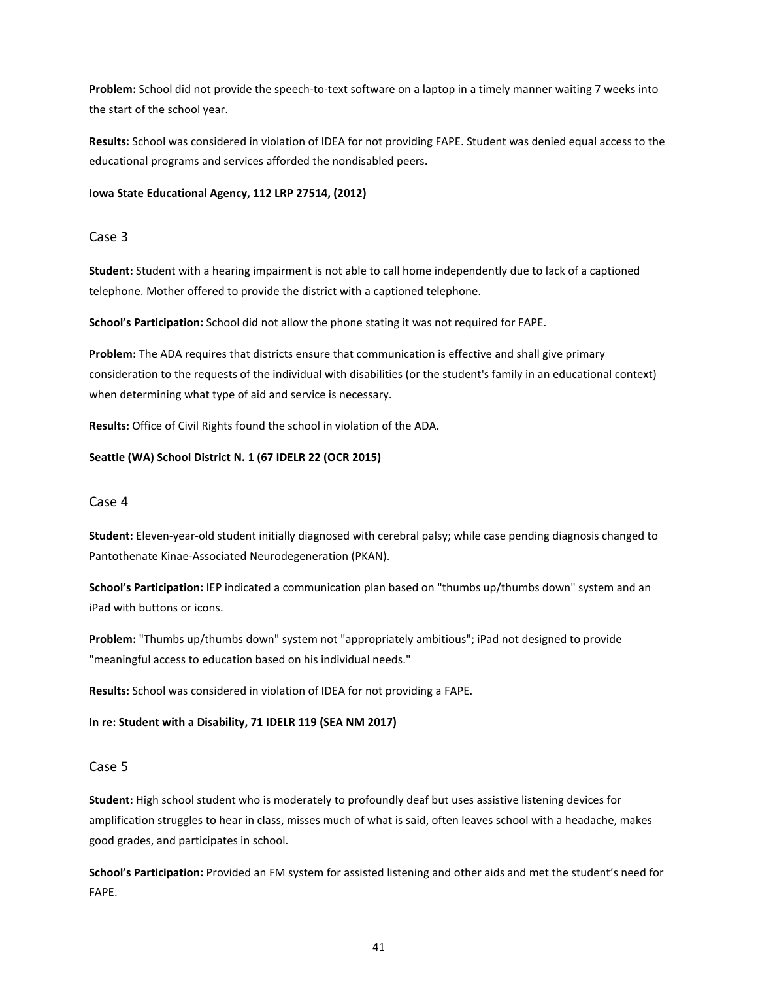**Problem:** School did not provide the speech-to-text software on a laptop in a timely manner waiting 7 weeks into the start of the school year.

**Results:** School was considered in violation of IDEA for not providing FAPE. Student was denied equal access to the educational programs and services afforded the nondisabled peers.

#### <span id="page-43-0"></span>**Iowa State Educational Agency, 112 LRP 27514, (2012)**

#### Case 3

**Student:** Student with a hearing impairment is not able to call home independently due to lack of a captioned telephone. Mother offered to provide the district with a captioned telephone.

**School's Participation:** School did not allow the phone stating it was not required for FAPE.

**Problem:** The ADA requires that districts ensure that communication is effective and shall give primary consideration to the requests of the individual with disabilities (or the student's family in an educational context) when determining what type of aid and service is necessary.

**Results:** Office of Civil Rights found the school in violation of the ADA.

#### <span id="page-43-1"></span>**Seattle (WA) School District N. 1 (67 IDELR 22 (OCR 2015)**

#### Case 4

**Student:** Eleven-year-old student initially diagnosed with cerebral palsy; while case pending diagnosis changed to Pantothenate Kinae-Associated Neurodegeneration (PKAN).

**School's Participation:** IEP indicated a communication plan based on "thumbs up/thumbs down" system and an iPad with buttons or icons.

**Problem:** "Thumbs up/thumbs down" system not "appropriately ambitious"; iPad not designed to provide "meaningful access to education based on his individual needs."

**Results:** School was considered in violation of IDEA for not providing a FAPE.

#### <span id="page-43-2"></span>**In re: Student with a Disability, 71 IDELR 119 (SEA NM 2017)**

#### Case 5

**Student:** High school student who is moderately to profoundly deaf but uses assistive listening devices for amplification struggles to hear in class, misses much of what is said, often leaves school with a headache, makes good grades, and participates in school.

**School's Participation:** Provided an FM system for assisted listening and other aids and met the student's need for FAPE.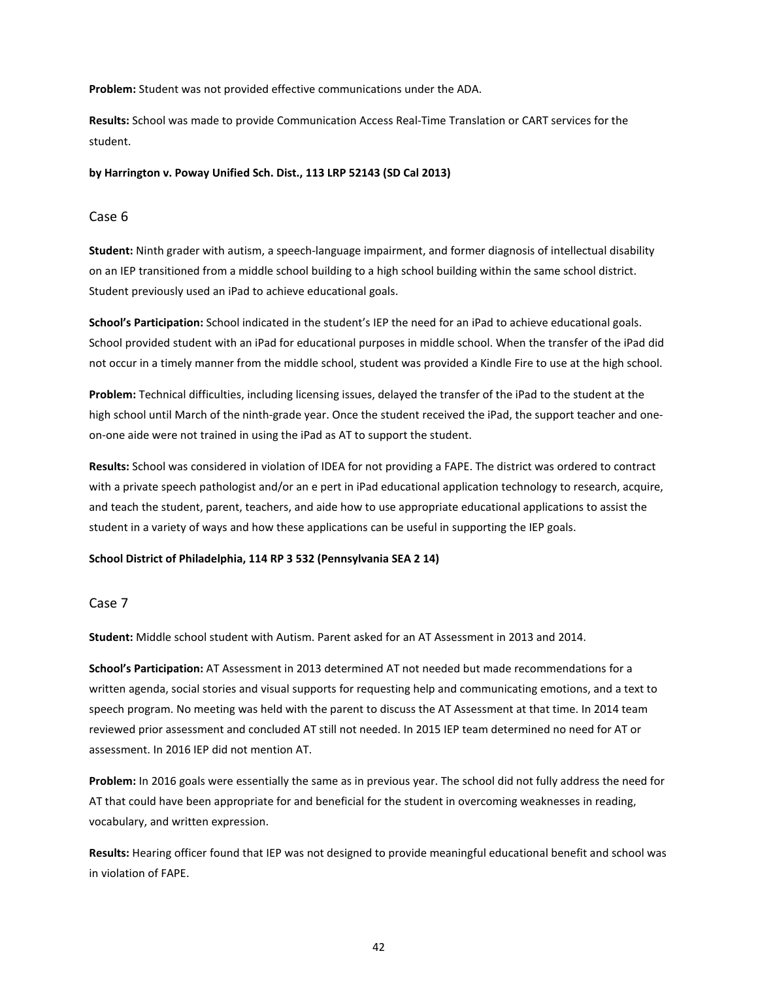**Problem:** Student was not provided effective communications under the ADA.

**Results:** School was made to provide Communication Access Real-Time Translation or CART services for the student.

#### <span id="page-44-0"></span>**by Harrington v. Poway Unified Sch. Dist., 113 LRP 52143 (SD Cal 2013)**

#### Case 6

**Student:** Ninth grader with autism, a speech-language impairment, and former diagnosis of intellectual disability on an IEP transitioned from a middle school building to a high school building within the same school district. Student previously used an iPad to achieve educational goals.

**School's Participation:** School indicated in the student's IEP the need for an iPad to achieve educational goals. School provided student with an iPad for educational purposes in middle school. When the transfer of the iPad did not occur in a timely manner from the middle school, student was provided a Kindle Fire to use at the high school.

**Problem:** Technical difficulties, including licensing issues, delayed the transfer of the iPad to the student at the high school until March of the ninth-grade year. Once the student received the iPad, the support teacher and oneon-one aide were not trained in using the iPad as AT to support the student.

**Results:** School was considered in violation of IDEA for not providing a FAPE. The district was ordered to contract with a private speech pathologist and/or an e pert in iPad educational application technology to research, acquire, and teach the student, parent, teachers, and aide how to use appropriate educational applications to assist the student in a variety of ways and how these applications can be useful in supporting the IEP goals.

#### <span id="page-44-1"></span>**School District of Philadelphia, 114 RP 3 532 (Pennsylvania SEA 2 14)**

#### Case 7

**Student:** Middle school student with Autism. Parent asked for an AT Assessment in 2013 and 2014.

**School's Participation:** AT Assessment in 2013 determined AT not needed but made recommendations for a written agenda, social stories and visual supports for requesting help and communicating emotions, and a text to speech program. No meeting was held with the parent to discuss the AT Assessment at that time. In 2014 team reviewed prior assessment and concluded AT still not needed. In 2015 IEP team determined no need for AT or assessment. In 2016 IEP did not mention AT.

**Problem:** In 2016 goals were essentially the same as in previous year. The school did not fully address the need for AT that could have been appropriate for and beneficial for the student in overcoming weaknesses in reading, vocabulary, and written expression.

**Results:** Hearing officer found that IEP was not designed to provide meaningful educational benefit and school was in violation of FAPE.